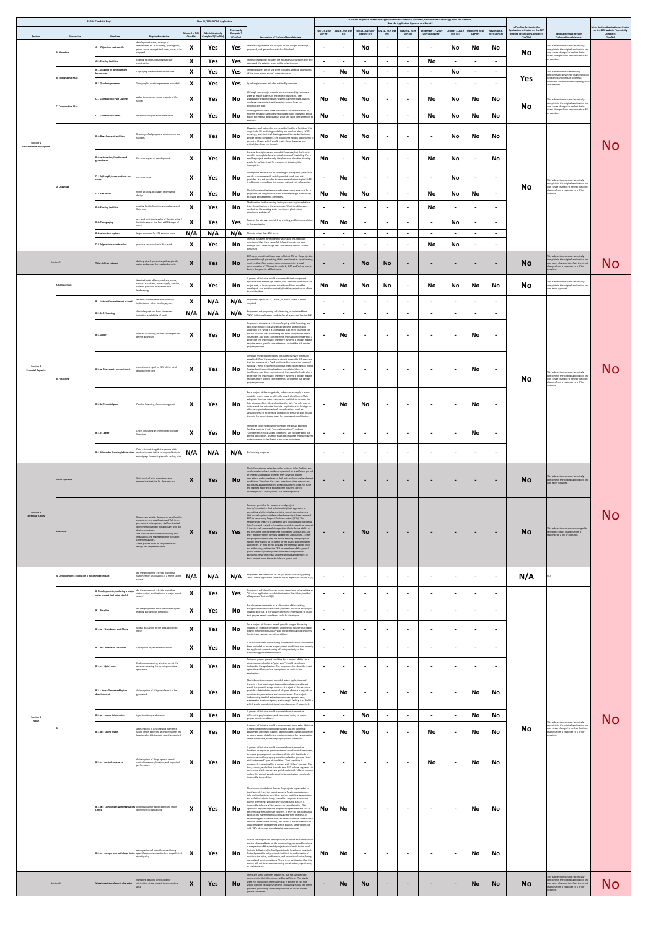| permit conditions |
|-------------------|
|-------------------|

|                                                    |                                                | <b>SLODA Checklist Req's</b>                                                |                                                                                                                                                                                         |                                          | May 24, 2019 SLODA Application         | Technically           |                                                                                                                                                                                                                                                                      |                                 |                          |                                         |                  | Was the Application Updated as a Result? | If the RFI Response Altered the Application or the Potential Economic, Environmental or Energy Risks and Benefits, | October 3, 2019          | October 9, 2019          |                             | Is This Sub-Section in the<br>Application as Posted on the DEP |                                                                                                                                                                     | Is the Section Application as Posted<br>on the DEP website Technically |
|----------------------------------------------------|------------------------------------------------|-----------------------------------------------------------------------------|-----------------------------------------------------------------------------------------------------------------------------------------------------------------------------------------|------------------------------------------|----------------------------------------|-----------------------|----------------------------------------------------------------------------------------------------------------------------------------------------------------------------------------------------------------------------------------------------------------------|---------------------------------|--------------------------|-----------------------------------------|------------------|------------------------------------------|--------------------------------------------------------------------------------------------------------------------|--------------------------|--------------------------|-----------------------------|----------------------------------------------------------------|---------------------------------------------------------------------------------------------------------------------------------------------------------------------|------------------------------------------------------------------------|
| Section                                            | Subsection                                     | Line Item                                                                   | <b>Required materials</b><br>development areas, acreage of                                                                                                                              | <b>Marked in NAF</b><br><b>Checklist</b> | Administratively<br>Complete? (Yes/No) | Complete?<br>(Yes/No) | <b>Summation of Technical Completeness</b>                                                                                                                                                                                                                           | June 25, 2019<br><b>DEP RFI</b> | July 3, 2019 DEP         | July 18, 2019 DEP<br><b>Meeting RFI</b> | Ily 31, 2019 DEP | August 2, 2019<br><b>DEP RFI</b>         | September 17, 2019<br><b>DEP Geology RFI</b>                                                                       | <b>DEP RFI</b>           | <b>DEP RFI</b>           | November 8,<br>2019 DEP RFI | website Technically Complete?<br>(Yes/No)                      | <b>Rationale of Sub-Section</b><br><b>Technical Completeness</b>                                                                                                    | Complete?<br>(Yes/No)                                                  |
|                                                    | A. Narrative                                   | A.1. Objectives and details                                                 | disturbance, sq. ft. buildings, parking lots,<br>paved areas, revegetated areas, areas to be<br>ipped <sup>.</sup>                                                                      | $\mathbf{v}$                             | <b>Yes</b>                             | Yes                   | The initial application has a layout of the design, roadways<br>proposed, and general areas to be disturbed.                                                                                                                                                         |                                 | $\blacksquare$           | <b>No</b>                               | $\blacksquare$   | $\blacksquare$                           | $\blacksquare$                                                                                                     | <b>No</b>                | No                       | <b>No</b>                   | <b>No</b>                                                      | This sub-section was not technically<br>complete in the original application and<br>was never changed to reflect the in-<br>direct changes from a response to a RFI |                                                                        |
|                                                    |                                                | A.2. Existing facilities                                                    | Existing facilities including dates of<br>onstruction                                                                                                                                   | $\boldsymbol{\Lambda}$                   | Yes                                    | Yes                   | The existing facility includes the existing structures on-site, the<br>dams and the existing water utility infrastructure                                                                                                                                            |                                 | $\blacksquare$           | $\blacksquare$                          | $\blacksquare$   | $\blacksquare$                           | <b>No</b>                                                                                                          | $\sim$                   | $\blacksquare$           | $\sim$                      |                                                                | or question.                                                                                                                                                        |                                                                        |
|                                                    | <b>B. Topographic Map</b>                      | <b>B.1. Location of development</b><br>boundaries                           | Displaying development boundaries                                                                                                                                                       | $\boldsymbol{\Lambda}$                   | Yes                                    | <b>Yes</b>            | The boundaries of the site were included, and the boundaries<br>of the work across route 1 were discussed.                                                                                                                                                           | - -                             | <b>No</b>                | <b>No</b>                               | $\blacksquare$   | $\blacksquare$                           | $\blacksquare$                                                                                                     | <b>No</b>                | $\blacksquare$           |                             | <b>Yes</b>                                                     | This sub-section was technically<br>complete and any minor changes would<br>not significantly impact potential<br>economic, environmental or energy risks           |                                                                        |
|                                                    |                                                | <b>B.2. Quadrangle name</b>                                                 | Topographic quadrangle names provided                                                                                                                                                   | $\mathbf{v}$                             | <b>Yes</b>                             | <b>Yes</b>            | luadrangle names included within Figure notes.<br>Although some major aspects were discussed, by no means                                                                                                                                                            | $\blacksquare$                  |                          | $\blacksquare$                          |                  | $\blacksquare$                           | $\blacksquare$                                                                                                     | $\blacksquare$           | $\blacksquare$           |                             |                                                                | and benefits.                                                                                                                                                       |                                                                        |
|                                                    | <b>C. Construction Plan</b>                    | C.1. Construction Plan Outline                                              | plan to construct major aspects of the                                                                                                                                                  | $\boldsymbol{\Lambda}$                   | <b>Yes</b>                             | <b>No</b>             | were all major aspects of the project discussed. The<br>vastewater treatment plant, water treatment plant, bypass<br>roadway, power plant, and aeration system have no<br>construction plan.                                                                         | <b>No</b>                       | <b>No</b>                | <b>No</b>                               | $\blacksquare$   | $\blacksquare$                           | <b>No</b>                                                                                                          | <b>No</b>                | <b>No</b>                | <b>No</b>                   | <b>No</b>                                                      | This sub-section was not technically<br>complete in the original application and<br>was never changed to reflect the in-                                            |                                                                        |
|                                                    |                                                | <b>C.2. Construction Dates</b>                                              | dates for all aspects of construction                                                                                                                                                   | $\mathbf{\Lambda}$                       | <b>Yes</b>                             | <b>No</b>             | Initially general dates were provided in an excel timeline by<br>months this excel spreadsheet included color coding for broad<br>opics but menial details about what site work items needed to<br>be done.                                                          | <b>No</b>                       | $\blacksquare$           | <b>No</b>                               | $\blacksquare$   | $\blacksquare$                           | <b>No</b>                                                                                                          | <b>No</b>                | <b>No</b>                | <b>No</b>                   |                                                                | direct changes from a response to a RFI<br>or question.                                                                                                             |                                                                        |
|                                                    |                                                |                                                                             | Drawings of all proposed construction and                                                                                                                                               |                                          |                                        |                       | Elevation, and a site plan was provided but for a facility of this<br>magnitude 3D rendering modeling and rooftop plans, HVAC<br>drawings, and electrical drawings would be needed to insure                                                                         |                                 |                          |                                         |                  |                                          |                                                                                                                    |                          |                          |                             |                                                                |                                                                                                                                                                     |                                                                        |
| <b>Section 1</b><br><b>Development Description</b> |                                                | D.1. Development facilities                                                 | acilities                                                                                                                                                                               | $\mathbf{\Lambda}$                       | <b>Yes</b>                             | No                    | proper permit conditions. The proponent had an opportunity to<br>permit in Phases which would make these drawings less<br>critical, but chose not to do it.                                                                                                          | <b>No</b>                       | <b>No</b>                | <b>No</b>                               | $\blacksquare$   | $\blacksquare$                           | $\blacksquare$                                                                                                     | <b>No</b>                | <b>No</b>                | <b>No</b>                   |                                                                |                                                                                                                                                                     | No                                                                     |
|                                                    |                                                | D.1.(a) Location, function and<br>round area                                | For each aspect of development                                                                                                                                                          |                                          | <b>Yes</b>                             | No l                  | General descriptors were provided for areas, but the level of<br>detail is incomplete for a technical review of feasibility. For a<br>smaller project, maybe only site plans and elevation drawing                                                                   | No                              | $\sim$                   | <b>No</b>                               | $\sim$           | $\sim$                                   | <b>No</b>                                                                                                          | <b>No</b>                | $\blacksquare$           | <b>No</b>                   |                                                                |                                                                                                                                                                     |                                                                        |
|                                                    |                                                |                                                                             |                                                                                                                                                                                         |                                          | $ -$                                   |                       | would be sufficient but for a project of this size, it is<br>incomplete.<br>Incomplete information on road length during each phase and                                                                                                                              |                                 |                          |                                         |                  |                                          |                                                                                                                    | $ -$                     |                          |                             |                                                                |                                                                                                                                                                     |                                                                        |
|                                                    |                                                | D.1.(b) Length/cross-sections for                                           | For each road                                                                                                                                                                           | $\bm{\Lambda}$                           | Yes                                    | No                    | details to overcome silt and clay on dirt roads was not<br>provided. It is not possible to determine whether typical BMPS<br>is sufficient to condition this project without this information.                                                                       |                                 | <b>No</b>                | $\blacksquare$                          | $\blacksquare$   | $\blacksquare$                           | $\blacksquare$                                                                                                     | <b>No</b>                | $\blacksquare$           |                             |                                                                | This sub-section was not technically<br>complete in the original application and                                                                                    |                                                                        |
|                                                    | D. Drawings                                    | D.2. Site Work                                                              | filling, grading, drainage, or dredging                                                                                                                                                 | $\boldsymbol{\Lambda}$                   | Yes                                    | No l                  | The information that was provide was very cursory, and for a<br>project of this magnitude a more detailed design is necessary<br>to insure proper permit conditions.                                                                                                 | <b>No</b>                       | No                       | No                                      | $\blacksquare$   | $\blacksquare$                           | <b>No</b>                                                                                                          | <b>No</b>                | No                       | $\blacksquare$              | <b>No</b>                                                      | was never changed to reflect the direct<br>changes from a response to a RFI or<br>auestion.                                                                         |                                                                        |
|                                                    |                                                | D.3. Existing facilities                                                    | existing facility function, ground area and<br>floor area                                                                                                                               | $\mathbf{v}$                             | Yes                                    | No                    | The function for the existing facility was not explained other<br>than the utilization of the gatehouse. What conditions are<br>needed for the existing water treatment plant, other                                                                                 | $\blacksquare$                  | $\blacksquare$           | $\blacksquare$                          | $\blacksquare$   | $\blacksquare$                           | <b>No</b>                                                                                                          | $\sim$                   | $\blacksquare$           |                             |                                                                |                                                                                                                                                                     |                                                                        |
|                                                    |                                                | D.4. Topography                                                             | pre- and post topography of the site using 2<br>foot intervals or five foot at 20% slope of                                                                                             | $\boldsymbol{\Lambda}$                   | Yes                                    | Yes                   | structures, and dams?<br>Topo of the site was provided for existing and future conditions<br>in the application                                                                                                                                                      | <b>No</b>                       | <b>No</b>                | $\qquad \qquad \blacksquare$            | $\blacksquare$   | $\blacksquare$                           | $\blacksquare$                                                                                                     | <b>No</b>                | $\blacksquare$           |                             |                                                                |                                                                                                                                                                     |                                                                        |
|                                                    |                                                | D.4.(a) contour options                                                     | larger contours for 250 acres or more                                                                                                                                                   | N/A                                      | N/A                                    | N/A                   | The site is less than 250 acres.                                                                                                                                                                                                                                     | $\blacksquare$                  | $\blacksquare$           | $\blacksquare$                          | $\blacksquare$   | $\sim$                                   | $\blacksquare$                                                                                                     | $\blacksquare$           | $\blacksquare$           | $\sim$                      |                                                                |                                                                                                                                                                     |                                                                        |
|                                                    |                                                | D.4.(b) previous construction                                               | revious construction is discussed                                                                                                                                                       | $\mathbf{A}$                             | Yes                                    | No                    | The site has been developed for years and the Applicant<br>mentioned that there were PAHs found on-site in a coal<br>storage area. The storage area and other stuctures are not<br>discussed                                                                         |                                 | $\blacksquare$           | $\blacksquare$                          | $\blacksquare$   | $\blacksquare$                           | <b>No</b>                                                                                                          | <b>No</b>                | $\blacksquare$           | $\sim$                      |                                                                |                                                                                                                                                                     |                                                                        |
|                                                    | Section 2                                      | Title, right or Interest                                                    | do they clearly present a pathway to the                                                                                                                                                | $\mathbf{\Lambda}$                       | <b>Yes</b>                             | No l                  | DEP determined that there was sufficient TRI for the project to<br>proceed through permitting, if it is mentioned at a pre-hearing<br>meeting that if the project can receive permits, a legal                                                                       | $\blacksquare$                  | $\blacksquare$           | <b>No</b>                               | <b>No</b>        | $\sim$                                   | $\blacksquare$                                                                                                     | $\blacksquare$           | $\blacksquare$           | $\blacksquare$              | <b>No</b>                                                      | This sub-section was not technically<br>complete in the original application and<br>was never changed to reflect the direct                                         | No                                                                     |
|                                                    |                                                |                                                                             | water and across the road and on-site                                                                                                                                                   |                                          |                                        |                       | determination of TRI must be made by DEP and/or the courts<br>before the permits will be issued.                                                                                                                                                                     |                                 |                          |                                         |                  |                                          |                                                                                                                    |                          |                          |                             |                                                                | changes from a response to a RFI or                                                                                                                                 |                                                                        |
|                                                    | <b>A. Estimated Costs</b>                      |                                                                             | itemized costs of land purchase, roads,<br>sewers, structures, water supply, erosion,<br>control, pollution abatement and                                                               | $\mathbf{A}$                             | Yes                                    | No.                   | A project of this size would provide sufficient equipment<br>specifications and design criteria, and sufficient itemization of<br>major cost, to insure proper permit conditions could be<br>developed, and most importantly that the project could afford           | <b>No</b>                       | No                       | No                                      | <b>No</b>        | $\blacksquare$                           | <b>No</b>                                                                                                          | <b>No</b>                | <b>No</b>                | No                          | <b>No</b>                                                      | This sub-section was not technically<br>complete in the original application and<br>was never updated.                                                              |                                                                        |
|                                                    |                                                | B.1. Letter of commitment to fund                                           | landscaping<br>etter of commitment from financial<br>institution or other funding agency                                                                                                | $\mathbf{A}$                             | N/A                                    | N/A                   | to include them.<br>Proponent opted for "3. Other", in which case B.1. is not                                                                                                                                                                                        | $\blacksquare$                  | $\blacksquare$           | $\qquad \qquad \blacksquare$            | $\blacksquare$   | $\blacksquare$                           | $\overline{\phantom{0}}$                                                                                           | $\overline{\phantom{a}}$ | $\blacksquare$           |                             |                                                                |                                                                                                                                                                     |                                                                        |
|                                                    |                                                | <b>B.2. Self-financing</b>                                                  | Annual report and bank statemen<br>indicating availability of funds                                                                                                                     | N/A                                      | N/A                                    | N/A                   | required.<br>Proponent not proposing self-financing, as indicated from<br>"N/A" in the application checklist for all aspects of Section B.2.                                                                                                                         |                                 | $\blacksquare$           | $\blacksquare$                          |                  | $\blacksquare$                           | $\blacksquare$                                                                                                     | $\blacksquare$           | $\blacksquare$           |                             |                                                                |                                                                                                                                                                     |                                                                        |
|                                                    |                                                |                                                                             |                                                                                                                                                                                         |                                          |                                        |                       | Proponent discusses a mixture of equity, debt-financing, and<br>cash flow (future) in a very broad sense in Section 3 and                                                                                                                                            |                                 |                          |                                         |                  |                                          |                                                                                                                    |                          |                          |                             |                                                                |                                                                                                                                                                     |                                                                        |
|                                                    |                                                | B.3. Other                                                                  | Mixture of funding sources contingent on<br>permit approvals                                                                                                                            | $\boldsymbol{\Lambda}$                   | Yes                                    | No                    | Appendix 3-A, while it is understood that often financing can<br>not be finalized until permitting has been completed there is<br>insufficient and direct commitment from specific lenders for a<br>project of this magnitude. The more involved a project maybe     |                                 | <b>No</b>                |                                         | $\blacksquare$   | $\blacksquare$                           | $\blacksquare$                                                                                                     | $\overline{\phantom{a}}$ | <b>No</b>                |                             |                                                                |                                                                                                                                                                     |                                                                        |
|                                                    |                                                |                                                                             |                                                                                                                                                                                         |                                          |                                        |                       | requires more specific commitments, so that the risk can be<br>properly bonded.                                                                                                                                                                                      |                                 |                          |                                         |                  |                                          |                                                                                                                    |                          |                          |                             |                                                                |                                                                                                                                                                     |                                                                        |
| <b>Section 3</b>                                   |                                                |                                                                             | commitment equal to 20% of the total                                                                                                                                                    |                                          |                                        |                       | Although the proponent does not currently have the equity<br>equal to 20% of the development cost, Appendix 3-B suggests<br>that the proponent is "well positioned to secure the required<br>funding". While it is understood that often financing can not be        |                                 |                          |                                         |                  |                                          |                                                                                                                    |                          |                          |                             |                                                                |                                                                                                                                                                     |                                                                        |
| <b>Financial Capacity</b>                          | <b>B.</b> Financing                            | B.3.(a) Cash equity commitment                                              | development cost                                                                                                                                                                        | $\boldsymbol{\Lambda}$                   | Yes                                    | No l                  | finalized until permitting has been completed there is<br>insufficient and direct commitment from specific lenders for a<br>project of this magnitude. The more involved a project maybe<br>requires more specific commitments, so that the risk can be              | $\sim$                          | $\blacksquare$           | $\blacksquare$                          | $\blacksquare$   | $\blacksquare$                           | $\blacksquare$                                                                                                     | $\blacksquare$           | <b>No</b>                |                             | <b>No</b>                                                      | This sub-section was not technically<br>complete in the original application and<br>was never changed to reflect the direct                                         | No                                                                     |
|                                                    |                                                |                                                                             |                                                                                                                                                                                         |                                          |                                        |                       | properly bonded.<br>For a project of this magnitude, where for example a major                                                                                                                                                                                       |                                 |                          |                                         |                  |                                          |                                                                                                                    |                          |                          |                             |                                                                | changes from a response to a RFI or<br>question.                                                                                                                    |                                                                        |
|                                                    |                                                | B.3.(b) Financial plan                                                      | Plan for financing the remaining cost                                                                                                                                                   | $\mathbf{\Lambda}$                       | Yes                                    | No                    | mortality event could result in the death of millions of fish<br>adequate financial reserves must be available to remove the<br>fish, dispose of the fish and replace the fish. The only way to                                                                      |                                 | <b>No</b>                | <b>No</b>                               | $\blacksquare$   | $\blacksquare$                           | $\blacksquare$                                                                                                     | $\overline{\phantom{a}}$ | <b>No</b>                | $\blacksquare$              |                                                                |                                                                                                                                                                     |                                                                        |
|                                                    |                                                |                                                                             |                                                                                                                                                                                         |                                          |                                        |                       | understand the potential financial implications of this type or<br>other unexpected operational considerations (such as<br>virus/bacteria) is to develop unexpected scenarios and include<br>them in the permitting process for review and conditioning.             |                                 |                          |                                         |                  |                                          |                                                                                                                    |                          |                          |                             |                                                                |                                                                                                                                                                     |                                                                        |
|                                                    |                                                |                                                                             | Letter indicating an intention to provide                                                                                                                                               |                                          |                                        |                       | The letter could not possibly consider the actual expected<br>funding required if only "normal operations" and not                                                                                                                                                   |                                 |                          |                                         |                  |                                          |                                                                                                                    |                          |                          |                             |                                                                |                                                                                                                                                                     |                                                                        |
|                                                    |                                                | B.3.(c) Letter                                                              | inancing                                                                                                                                                                                | $\boldsymbol{\Lambda}$                   | Yes                                    | No l                  | "unexpected, typical upset conditions" are considered in the<br>permit application. A simple example of a large mortality event,<br>quite common in fish farms, is not even considered.                                                                              |                                 | $\sim$                   | $\blacksquare$                          | $\blacksquare$   | $\blacksquare$                           | $\blacksquare$                                                                                                     | $\overline{\phantom{a}}$ | <b>No</b>                |                             |                                                                |                                                                                                                                                                     |                                                                        |
|                                                    |                                                |                                                                             | Data substantiating that a person with<br>$\vert$ B.4. Affordable housing information $\vert$ median income in the county could obtain<br>a mortgage for a unit given the selling price | N/A                                      | V/A N/A                                | $\mid N/A$            | No housing proposed.                                                                                                                                                                                                                                                 |                                 |                          |                                         |                  |                                          | $\blacksquare$                                                                                                     |                          |                          |                             |                                                                |                                                                                                                                                                     |                                                                        |
|                                                    |                                                |                                                                             |                                                                                                                                                                                         |                                          |                                        |                       | The information provided on other projects is for facilities are<br>much smaller or have not been operated for a sufficient period                                                                                                                                   |                                 |                          |                                         |                  |                                          |                                                                                                                    |                          |                          |                             |                                                                |                                                                                                                                                                     |                                                                        |
|                                                    | A. Prior Experience                            |                                                                             | Statement of prior experience and<br>appropriate training for development                                                                                                               | X                                        | Yes                                    | <b>No</b>             | of time to understand whether they have the proper<br>operations and procedures to deal with both normal and upset<br>conditions. Therefore they may have theoretical experience,                                                                                    |                                 |                          | $\qquad \qquad$                         | $\blacksquare$   | $\blacksquare$                           | $\blacksquare$                                                                                                     | $\overline{\phantom{a}}$ | $\blacksquare$           | $\blacksquare$              | <b>No</b>                                                      | This sub-section was not technically<br>complete in the original application and<br>was never updated.                                                              |                                                                        |
|                                                    |                                                |                                                                             |                                                                                                                                                                                         |                                          |                                        |                       | but clearly as a corporation, Nordic Aquafarms does not have<br>the learned experience to overcome industry specific<br>challenges for a facility of this size and magnitude.                                                                                        |                                 |                          |                                         |                  |                                          |                                                                                                                    |                          |                          |                             |                                                                |                                                                                                                                                                     |                                                                        |
|                                                    |                                                |                                                                             |                                                                                                                                                                                         |                                          |                                        |                       | Resumes provided for personnel and project<br>teams/consultants. But unfortunately their approach to                                                                                                                                                                 |                                 |                          |                                         |                  |                                          |                                                                                                                    |                          |                          |                             |                                                                |                                                                                                                                                                     |                                                                        |
| <b>Section 4</b><br><b>Technical Ability</b>       |                                                |                                                                             | Resumes or similar documents detailing the<br>experience and qualifications of full-time,<br>permanent or temporary staff contracted                                                    |                                          |                                        |                       | permitting which includes providing some information and<br>little actual equipment data or backup analysis have required<br>DEP to issue many Request for Information (RFIs). The<br>responses to these RFIs are either very involved and contain a                 |                                 |                          |                                         |                  |                                          |                                                                                                                    |                          |                          |                             |                                                                |                                                                                                                                                                     | No                                                                     |
|                                                    | B. Personnel                                   |                                                                             | with or employed by the applicant who will<br>design, construct,<br>and oversee development including the<br>installation and maintenance of pollution                                  | $\mathbf{\Lambda}$                       | <b>Yes</b>                             | <b>Yes</b>            | lot of new and revised information, or sidestepped the request.<br>It is extremely reasonable to question the technical ability of<br>the personnel completing these incomplete applications and<br>their decision to not formally update the applications. Either   |                                 | $\blacksquare$           | <b>No</b>                               | $\blacksquare$   | $\sim$                                   | $\blacksquare$                                                                                                     | $\overline{\phantom{a}}$ | $\qquad \qquad$          | $\blacksquare$              | <b>No</b>                                                      | This sub-section was never changed to<br>reflect the direct changes from a<br>response to a RFI or question.                                                        |                                                                        |
|                                                    |                                                |                                                                             | control measures.<br>These parties must be responsible for<br>design and implementation.                                                                                                |                                          |                                        |                       | this proponent feels they are above keeping their proposed<br>facility information up to speed for the public and regulatory<br>authorities, or they do not possess the technical ability to do<br>so. either way, neither the DEP or members of the general         |                                 |                          |                                         |                  |                                          |                                                                                                                    |                          |                          |                             |                                                                |                                                                                                                                                                     |                                                                        |
|                                                    |                                                |                                                                             |                                                                                                                                                                                         |                                          |                                        |                       | public can easily identify and understand the potential<br>economic, environmental, and energy risks and benefits of<br>their project when the materials are spread out.                                                                                             |                                 |                          |                                         |                  |                                          |                                                                                                                    |                          |                          |                             |                                                                |                                                                                                                                                                     |                                                                        |
|                                                    | A. Developments producing a minor noise impact |                                                                             | did the proponent elect to provide a                                                                                                                                                    |                                          |                                        |                       | Proponent self identified as a major sound source by putting                                                                                                                                                                                                         |                                 |                          |                                         |                  |                                          |                                                                                                                    |                          |                          |                             |                                                                |                                                                                                                                                                     |                                                                        |
|                                                    |                                                |                                                                             | statement or justification as a minor sound<br>Sanuo                                                                                                                                    | N/A                                      | N/A                                    | N/A                   | "N/A" in the application checklist for all aspects of Section 5 (A)                                                                                                                                                                                                  |                                 | $\blacksquare$           | $\blacksquare$                          | $\blacksquare$   | $\blacksquare$                           | $\blacksquare$                                                                                                     | $\blacksquare$           | $\blacksquare$           | $\blacksquare$              | N/A                                                            |                                                                                                                                                                     |                                                                        |
|                                                    |                                                | <b>B. Developments producing a major</b><br>noise impact (full noise study) | did the proponent elect to provide a<br>statement or justification as a major sound<br>source <i>!</i>                                                                                  | X                                        | Yes                                    | <b>Yes</b>            | Proponent self identified as a major sound source by putting an<br>"X" in the application checklist indication that it has provided<br>all aspects of Section 5 (B)                                                                                                  |                                 | $\blacksquare$           |                                         | $\blacksquare$   | $\sim$                                   | $\blacksquare$                                                                                                     | $\blacksquare$           | $\blacksquare$           | $\sim$                      |                                                                |                                                                                                                                                                     |                                                                        |
|                                                    |                                                | <b>B.1. Baseline</b>                                                        | did the proponent measure or identify the<br>existing background conditions                                                                                                             | $\mathbf{A}$                             | <b>Yes</b>                             | No                    | Baseline measurements or a discussion of the existing<br>background conditions was not provided. Based on the project<br>location and size, it is crucial in providing information to insure                                                                         |                                 | $\blacksquare$           | $\blacksquare$                          | $\blacksquare$   | $\blacksquare$                           | $\blacksquare$                                                                                                     | $\overline{\phantom{a}}$ | $\blacksquare$           |                             |                                                                |                                                                                                                                                                     |                                                                        |
|                                                    |                                                |                                                                             | spatial discussion of the area specific to                                                                                                                                              |                                          |                                        |                       | that proper permit conditions could be developed.<br>For a project of this size would provide images discussing<br>location of baseline conditions and provide figures that depict                                                                                   |                                 |                          |                                         |                  |                                          |                                                                                                                    |                          |                          |                             |                                                                |                                                                                                                                                                     |                                                                        |
|                                                    |                                                | B.1.(a) - Uses Zones and Maps                                               |                                                                                                                                                                                         | $\boldsymbol{\Lambda}$                   | Yes                                    | No                    | clearly the project boundary and protected locations property<br>line to insure proper permit conditions.                                                                                                                                                            |                                 | $\blacksquare$           | $\blacksquare$                          | $\blacksquare$   | $\blacksquare$                           | $\blacksquare$                                                                                                     | $\overline{\phantom{a}}$ | $\overline{\phantom{a}}$ |                             |                                                                |                                                                                                                                                                     |                                                                        |
|                                                    |                                                | B.1.(b) - Protected Locations                                               | Description of protected locations                                                                                                                                                      | $\boldsymbol{X}$                         | Yes                                    | No                    | A discussion of the surrounding protected locations would have<br>been provided to insure proper permit conditions, and to verify<br>the applicants understanding of their proximity to the<br>surrounding protected locations.                                      | $\overline{\phantom{a}}$        | $\blacksquare$           | $\blacksquare$                          | $\blacksquare$   | $\blacksquare$                           | $\blacksquare$                                                                                                     | $\blacksquare$           | $\qquad \qquad$          |                             |                                                                |                                                                                                                                                                     |                                                                        |
|                                                    |                                                | B.1.(c) - Quiet area                                                        | Evidence concerning whether or not the<br>area surrounding the development is a                                                                                                         |                                          | Yes                                    | No.                   | To insure proper permit condition for a project of this size a<br>discussion on whether a "quiet area" should have been<br>cluded in the application. The proponent has done the exact                                                                               |                                 | $\overline{\phantom{0}}$ | $\overline{\phantom{a}}$                | $\blacksquare$   | $\blacksquare$                           | $\overline{\phantom{0}}$                                                                                           | $\overline{\phantom{a}}$ | $\blacksquare$           |                             |                                                                |                                                                                                                                                                     |                                                                        |
|                                                    |                                                |                                                                             | uiet area.                                                                                                                                                                              | $\boldsymbol{\Lambda}$                   |                                        |                       | opposite and has pushed exemptions for noise in the<br>application.                                                                                                                                                                                                  |                                 |                          |                                         |                  |                                          |                                                                                                                    |                          |                          |                             |                                                                |                                                                                                                                                                     |                                                                        |
|                                                    |                                                | B.2. - Noise Generated by the                                               | A description of all types of noise to be                                                                                                                                               |                                          | Yes                                    | No l                  | This information was not provided in the application and<br>therefore their noise report cannot be validated and is not<br>worth the paper it was printed on. A project of this size must<br>provide a detailed discussion of all types of noise in regards to       |                                 | No                       | $\blacksquare$                          | $\blacksquare$   | $\sim$                                   | $\blacksquare$                                                                                                     | $\blacksquare$           | <b>No</b>                | <b>No</b>                   |                                                                |                                                                                                                                                                     |                                                                        |
|                                                    |                                                | development                                                                 | generated                                                                                                                                                                               | <u>л</u>                                 |                                        |                       | construction, operations, and maintenance. This project<br>includes city sized infrastructures such as a power pant,<br>wastewater treatment plant, water supply facility, etc. EACH of<br>which would provide individual sound sources, if requested.               |                                 |                          |                                         |                  |                                          |                                                                                                                    |                          |                          |                             |                                                                |                                                                                                                                                                     |                                                                        |
| <b>Section 5</b>                                   |                                                | B.2.(a) - source information                                                | type, locations, and sources                                                                                                                                                            | $\boldsymbol{\Lambda}$                   | Yes                                    | No l                  | A project of this size would provide information on the<br>different types, locations, and sources of noise, to insure<br>proper permit conditions.                                                                                                                  | $\blacksquare$                  |                          | No                                      |                  | $\blacksquare$                           | $\blacksquare$                                                                                                     | $\blacksquare$           | No                       | <b>No</b>                   |                                                                |                                                                                                                                                                     |                                                                        |
| <b>Noise</b>                                       |                                                |                                                                             | a description of daytime and nighttime                                                                                                                                                  |                                          |                                        |                       | A project of this size would provide octave band data. Not only<br>is the sound information not provided, but the potential                                                                                                                                          |                                 |                          |                                         |                  |                                          |                                                                                                                    |                          |                          |                             | <b>No</b>                                                      | This sub-section was not technically<br>complete in the original application and<br>was never changed to reflect the direct                                         | No                                                                     |
|                                                    |                                                | B.2.(b) - Sound levels                                                      | sound levels expected at property lines and<br>locations for ALL types of sound generated.                                                                                              |                                          | Yes                                    | No l                  | quipment creating it has not been included. band sound levels<br>or sound power data for the equipment used during operation<br>and maintenance, to insure proper permit conditions                                                                                  |                                 | No                       | <b>No</b>                               | $\blacksquare$   | $\blacksquare$                           | <b>No</b>                                                                                                          | $\blacksquare$           | No                       | <b>No</b>                   |                                                                | changes from a response to a RFI or<br>auestion.                                                                                                                    |                                                                        |
|                                                    |                                                |                                                                             |                                                                                                                                                                                         |                                          |                                        |                       | A project of this size would provide information on the<br>locations or expected performance of sound control measures,<br>to insure proper permit conditions. A site with hundreds of                                                                               |                                 |                          |                                         |                  |                                          |                                                                                                                    |                          |                          |                             |                                                                |                                                                                                                                                                     |                                                                        |
|                                                    |                                                | $B.2.(c)$ - control measures                                                | A description of the proposed sound<br>control measures, location, and expected<br>Iperformance                                                                                         | $\mathbf{A}$                             | Yes                                    | No                    | sources cannot be properly conditioned with a general "thou<br>shall not exceed" type of condition. That condition is<br>completely impractical for a project with 100s of sources. The<br>time, money, and effort it would take DEP or local regulators to          |                                 | $\blacksquare$           | $\qquad \qquad$                         | $\blacksquare$   | $\blacksquare$                           | <b>No</b>                                                                                                          | $\blacksquare$           | No                       | <b>No</b>                   |                                                                |                                                                                                                                                                     |                                                                        |
|                                                    |                                                |                                                                             |                                                                                                                                                                                         |                                          |                                        |                       | determine which sources are problematic with 100s of sources<br>makes this project as submitted in its application completely<br>impossible to condition.                                                                                                            |                                 |                          |                                         |                  |                                          |                                                                                                                    |                          |                          |                             |                                                                |                                                                                                                                                                     |                                                                        |
|                                                    |                                                |                                                                             |                                                                                                                                                                                         |                                          |                                        |                       | The comparison did not discuss the projects impacts due to<br>tonal sounds from the sound sources. Again, no equipment                                                                                                                                               |                                 |                          |                                         |                  |                                          |                                                                                                                    |                          |                          |                             |                                                                |                                                                                                                                                                     |                                                                        |
|                                                    |                                                |                                                                             | $ B.2.(d)$ - Comparison with Regulatory $ A \text{ comparison of expected sound levels}$                                                                                                |                                          |                                        |                       | information has been provided, and no modeling assumptions<br>are included in their study, even after requests were made<br>during permitting. Without any sound source data, it is<br>impossible to know which sources are problematic. This                        |                                 |                          |                                         |                  |                                          |                                                                                                                    |                          |                          |                             |                                                                |                                                                                                                                                                     |                                                                        |
|                                                    |                                                |                                                                             | with limits in regulations.                                                                                                                                                             | $\boldsymbol{\Lambda}$                   | Yes                                    | No l                  | approach requires that the proponent agree after the fact to<br>determining the sources of concern. If they do not do this n a<br>satisfactory manner to regulatory authorities, the onus of<br>establishing the baseline after the fact falls on the state or local | No                              | No                       | $\blacksquare$                          | $\blacksquare$   | $\sim$                                   | $\blacksquare$                                                                                                     | $\blacksquare$           | No                       | <b>No</b>                   |                                                                |                                                                                                                                                                     |                                                                        |
|                                                    |                                                |                                                                             |                                                                                                                                                                                         |                                          |                                        |                       | officials and the time, money, and effort it would take DEP or<br>local regulators to determine which sources are problematic<br>with 180s of sources would strain these resources.                                                                                  |                                 |                          |                                         |                  |                                          |                                                                                                                    |                          |                          |                             |                                                                |                                                                                                                                                                     |                                                                        |
|                                                    |                                                |                                                                             |                                                                                                                                                                                         |                                          |                                        |                       | Due to the magnitude of the project, to insure that there would<br>not be adverse effects on the surrounding protected locations,                                                                                                                                    |                                 |                          |                                         |                  |                                          |                                                                                                                    |                          |                          |                             |                                                                |                                                                                                                                                                     |                                                                        |
|                                                    |                                                |                                                                             | a comparison of sound levels with any<br>$B.2.(e)$ - comparison with local limits. quantifiable noise standards of any affected<br>unicipality                                          | $\mathbf{\Lambda}$                       | Yes                                    | No l                  | a comparison of the predict project sound levels to the local<br>limits in Belfast and/or Northport should have been provided.<br>Not only was this not provided, but their is no discussion of<br>construction noise, traffic noise, and operational noise during   | <b>No</b>                       | No                       | $\blacksquare$                          | $\blacksquare$   | $\blacksquare$                           | $\blacksquare$                                                                                                     | $\overline{\phantom{a}}$ | No                       | No                          |                                                                |                                                                                                                                                                     |                                                                        |
|                                                    |                                                |                                                                             |                                                                                                                                                                                         |                                          |                                        |                       | normal and upset conditions. There is no justification that this<br>source will not be a nuisance during construction, operations,<br>or maintenance.                                                                                                                |                                 |                          |                                         |                  |                                          |                                                                                                                    |                          |                          |                             |                                                                |                                                                                                                                                                     |                                                                        |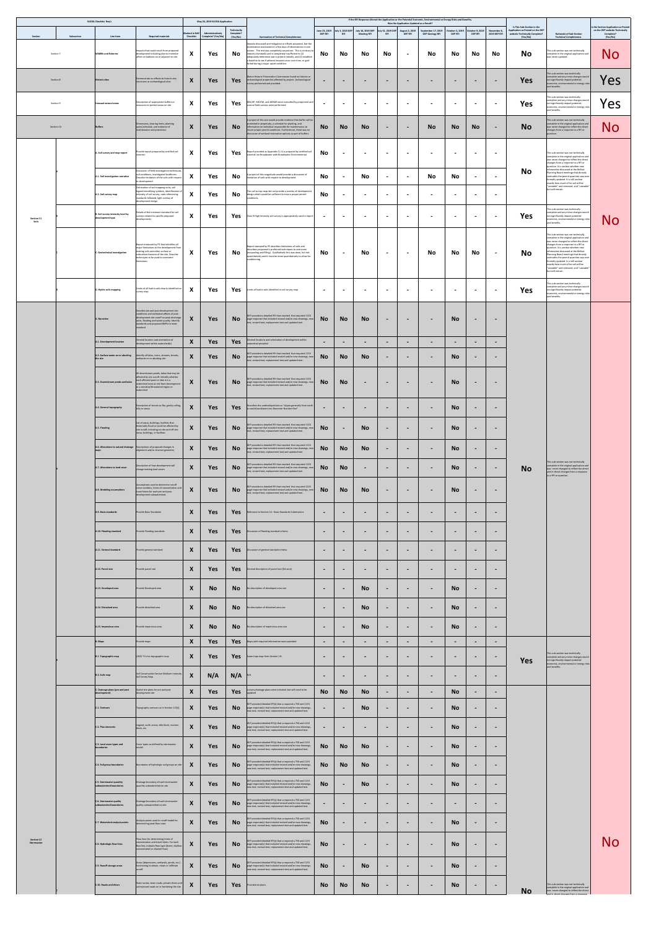|                            | <b>SLODA Checklist Req's</b>                            |                                                                                                                                                                                                                                |                                                    | May 24, 2019 SLODA Application         |                                      |                                                                                                                                                                                                                                                                                                                                                                                                                                           |                                 |                          |                                         |                                 | Was the Application Updated as a Result? | If the RFI Response Altered the Application or the Potential Economic, Environmental or Energy Risks and Benefits, |                                                     |                          |                             | Is This Sub-Section in the                                                    |                                                                                                                                                                                                                                                                                                                                                                                                                                                                                      | Is the Section Application as Posted                    |
|----------------------------|---------------------------------------------------------|--------------------------------------------------------------------------------------------------------------------------------------------------------------------------------------------------------------------------------|----------------------------------------------------|----------------------------------------|--------------------------------------|-------------------------------------------------------------------------------------------------------------------------------------------------------------------------------------------------------------------------------------------------------------------------------------------------------------------------------------------------------------------------------------------------------------------------------------------|---------------------------------|--------------------------|-----------------------------------------|---------------------------------|------------------------------------------|--------------------------------------------------------------------------------------------------------------------|-----------------------------------------------------|--------------------------|-----------------------------|-------------------------------------------------------------------------------|--------------------------------------------------------------------------------------------------------------------------------------------------------------------------------------------------------------------------------------------------------------------------------------------------------------------------------------------------------------------------------------------------------------------------------------------------------------------------------------|---------------------------------------------------------|
| Section<br>Subsection      | Line Item                                               | <b>Required materials</b>                                                                                                                                                                                                      | <b>Marked in NAF</b><br><b>Checklist</b>           | Administratively<br>Complete? (Yes/No) | Technically<br>Complete?<br>(Yes/No) | <b>Summation of Technical Completeness</b>                                                                                                                                                                                                                                                                                                                                                                                                | June 25, 2019<br><b>DEP RFI</b> | July 3, 2019 DEP         | July 18, 2019 DEP<br><b>Meeting RFI</b> | July 31, 2019 DEP<br><b>RFI</b> | <b>August 2, 2019</b><br><b>DEP RFI</b>  | September 17, 2019<br><b>DEP Geology RFI</b>                                                                       | October 3, 2019   October 9, 2019<br><b>DEP RFI</b> | <b>DEP RFI</b>           | November 8,<br>2019 DEP RFI | Application as Posted on the DEP<br>website Technically Complete?<br>(Yes/No) | <b>Rationale of Sub-Section</b><br><b>Technical Completeness</b>                                                                                                                                                                                                                                                                                                                                                                                                                     | on the DEP website Technically<br>Complete?<br>(Yes/No) |
| Section 7                  | <b>Wildlife and fisheries</b>                           | Impacts that could result from proposed<br>development including plan to minimize<br>affect on habitats on or adjacent to site                                                                                                 | $\boldsymbol{X}$                                   | Yes                                    | No                                   | Impacts discussed and mitigation or offsets proposed, but the<br>examination was based on a few days of observations in one<br>season. The rest was completely conjecture. This is contrary to<br>industry standards and is completely insufficient to (1)<br>adequately determine wat is present initially, and (2) establish<br>a baseline to see if adverse impacts occur over time, or god-<br>forbid during a major upset condition. | No                              | No                       | <b>No</b>                               | <b>No</b>                       | $\blacksquare$                           | <b>No</b>                                                                                                          | <b>No</b>                                           | No                       | <b>No</b>                   | <b>No</b>                                                                     | This sub-section was not technically<br>complete in the original application and<br>was never updated.                                                                                                                                                                                                                                                                                                                                                                               | NO                                                      |
| Section 8                  | <b>Historic sites</b>                                   | Demonstrate no effects to historic site,<br>structures or archaeological sites.                                                                                                                                                | X                                                  | Yes                                    | Yes                                  | Maine Historic Preservation Commission found no historic or<br>archaeological properties affected by project. Archaeological<br>survey performed and provided.                                                                                                                                                                                                                                                                            | $\blacksquare$                  | $\blacksquare$           | $\blacksquare$                          | $\blacksquare$                  | $\blacksquare$                           | $\sim$                                                                                                             | $\blacksquare$                                      | $\blacksquare$           | $\sim$                      | <b>Yes</b>                                                                    | This sub-section was technically<br>complete and any minor changes would<br>not significantly impact potential<br>economic, environmental or energy risks<br>and benefits.                                                                                                                                                                                                                                                                                                           | res                                                     |
| Section 9                  | Unusual natural areas                                   | Description of appropriate buffers or<br>measures to protect areas on site                                                                                                                                                     | $\mathbf{v}$<br>$\bm{X}$                           | Yes                                    | Yes                                  | MN/AP, MDIFW, and MDMR were consulted by proponent and<br>several field surveys were performed.                                                                                                                                                                                                                                                                                                                                           | $\overline{\phantom{a}}$        |                          | $\blacksquare$                          | $\blacksquare$                  | $\blacksquare$                           | $\blacksquare$                                                                                                     | $\sim$                                              | $\blacksquare$           | $\sim$                      | <b>Yes</b>                                                                    | This sub-section was technically<br>complete and any minor changes would<br>not significantly impact potential<br>economic, environmental or energy risks<br>and benefits.                                                                                                                                                                                                                                                                                                           | 'es                                                     |
| Section 10                 | <b>Buffers</b>                                          | Dimensions, clearing limits, planting<br>specs/schedule, and evidence of<br>maintenance and protection.                                                                                                                        | X                                                  | Yes                                    | <b>No</b>                            | A project of this size would provide evidence that buffer will be<br>protected in perpetuity, a schedule for planting, and<br>information on individual responsible for maintenance, to<br>insure proper permit conditions. Furthermore, there was no<br>discussion of wetland restoration options as part of buffers                                                                                                                     | <b>No</b>                       | <b>No</b>                | <b>No</b>                               | $\blacksquare$                  | $\blacksquare$                           | <b>No</b>                                                                                                          | <b>No</b>                                           | <b>No</b>                | $\sim$                      | <b>No</b>                                                                     | This sub-section was not technically<br>complete in the original application and<br>was never changed to reflect the direct<br>changes from a response to a RFI or<br>question.                                                                                                                                                                                                                                                                                                      | No                                                      |
|                            | A. Soil survey and map report                           | Provide report prepared by certified soil<br>scientist.                                                                                                                                                                        | $\mathbf{v}$<br>$\boldsymbol{\Lambda}$             | Yes                                    | Yes                                  | Report provided as Appendix 11-A is prepared by certified soil<br>scientist Ian Broadwater with Broadwater Environmental                                                                                                                                                                                                                                                                                                                  | <b>No</b>                       | $\blacksquare$           | $\blacksquare$                          | $\blacksquare$                  | $\blacksquare$                           | $\blacksquare$                                                                                                     | $\blacksquare$                                      | $\blacksquare$           | $\sim$                      |                                                                               | This sub-section was not technically<br>complete in the original application and<br>was never changed to reflect the direct                                                                                                                                                                                                                                                                                                                                                          |                                                         |
|                            | A.1. Soil investigation narrative                       | Discussion of field investigation techniques,<br>soil conditions, investigated landforms.<br>Describe limitation of the soils with respect<br>to development                                                                   | $\mathbf v$<br>$\mathbf{\Lambda}$                  | Yes                                    | <b>No</b>                            | A project of this magnitude would provide a discussion of<br>limitation of soils with respect to development.                                                                                                                                                                                                                                                                                                                             | <b>No</b>                       |                          | <b>No</b>                               | $\blacksquare$                  | $\blacksquare$                           | <b>No</b>                                                                                                          | <b>No</b>                                           | $\sim$                   | $\sim$                      | <b>No</b>                                                                     | changes from a response to a RFI or<br>question. It is unclear whether new<br>information discussed at the Belfast<br>Planning Board meetings that directly<br>contradits the permit quanities was ever<br>formally updated. It is still unclear<br>exactly how much of he soil will be                                                                                                                                                                                              |                                                         |
|                            | A.2. Soil survey map                                    | Delineation of soil mapping units, soil<br>legend identifying symbols, identification of<br>intensity of soil survey, note referencing<br>standards followed, light overlay of<br>development design                           | $\boldsymbol{X}$                                   | Yes                                    | No                                   | The soil survey map did not provide a overlay of development<br>design which would be sufficient to insure proper permit<br>conditions.                                                                                                                                                                                                                                                                                                   | No                              | $\blacksquare$           | $\blacksquare$                          | $\sim$                          | $\blacksquare$                           | $\blacksquare$                                                                                                     | $\blacksquare$                                      | $\blacksquare$           | $\sim$                      |                                                                               | "unstable" and removed, and "unstable"<br>but will remain.                                                                                                                                                                                                                                                                                                                                                                                                                           |                                                         |
| <b>Section 11</b><br>Soils | B. Soil survey intensity level by<br>development type   | Details of the minimum standard for soil<br>surveys related to specific proposed<br>developments                                                                                                                               | X                                                  | Yes                                    | Yes                                  | Class B High Intensity soil survey is appropriately used in report                                                                                                                                                                                                                                                                                                                                                                        | $\blacksquare$                  | $\blacksquare$           | $\blacksquare$                          | $\overline{\phantom{a}}$        | $\overline{\phantom{a}}$                 | $\blacksquare$                                                                                                     | $\blacksquare$                                      | $\blacksquare$           | $\blacksquare$              | <b>Yes</b>                                                                    | This sub-section was technically<br>complete and any minor changes would<br>not significantly impact potential<br>economic, environmental or energy risks<br>and benefits.                                                                                                                                                                                                                                                                                                           | No                                                      |
|                            | C. Geotechnical investigation                           | Report endorsed by PE that identifies all<br>major limitations to the development from<br>existing soils and other surface or<br>subsurface features of the site. Describe<br>techniques to be used to overcome<br>limitations | $\mathbf{v}$<br>$\mathbf{\Lambda}$                 | Yes                                    | No                                   | Report stamped by PE describes limitations of soils and<br>describes proponent's preferred techniques to overcome<br>(excavating and filling). Qualitatively this was done, but not<br>quantitatively and it must be done quantitatively to allow for<br>conditioning.                                                                                                                                                                    | <b>No</b>                       | $\overline{\phantom{a}}$ | <b>No</b>                               | $\sim$                          | $\blacksquare$                           | <b>No</b>                                                                                                          | <b>No</b>                                           | No                       | $\sim$ $-$                  | <b>No</b>                                                                     | This sub-section was not technically<br>complete in the original application and<br>was never changed to reflect the direct<br>changes from a response to a RFI or<br>question. It is unclear whether new<br>information discussed at the Belfast<br>Planning Board meetings that directly<br>contradits the permit quanities was ever<br>formally updated. It is still unclear<br>exactly how much of he soil will be<br>"unstable" and removed, and "unstable"<br>but will remain. |                                                         |
|                            | D. Hydric soils mapping                                 | Limits of all hydric soils clearly identified on<br>survey map.                                                                                                                                                                | - 37<br>$\mathbf{A}$                               | Yes                                    | Yes                                  | Limits of hydric soils identified in soil survey map                                                                                                                                                                                                                                                                                                                                                                                      | $\blacksquare$                  | $\mathbf{r}$             | $\blacksquare$                          | $\blacksquare$                  | $\sim$                                   | $\overline{\phantom{a}}$                                                                                           | $\blacksquare$                                      | $\blacksquare$           | $\sim$ $\sim$               | <b>Yes</b>                                                                    | This sub-section was technically<br>complete and any minor changes would<br>not significantly impact potential<br>economic, environmental or energy risks<br>and benefits.                                                                                                                                                                                                                                                                                                           |                                                         |
|                            | A. Narrative                                            | Describe pre and post-development site<br>conditions and estimated affects of post -<br>development site runoff on peak discharge<br>rates, flooding and water quality. Identify<br>standards and proposed BMPs to meet        | $\mathbf{\Lambda}$                                 | <b>Yes</b>                             | <b>No</b>                            | DEP provided a detailed RFI that resulted that required 1133<br>page response that included revised and/or new drawings, new<br>text, revised text, replacement text and updated text.                                                                                                                                                                                                                                                    | <b>No</b>                       | <b>No</b>                | <b>No</b>                               | $\sim$                          | $\blacksquare$                           | $\sim$                                                                                                             | <b>No</b>                                           | $\blacksquare$           | $\blacksquare$              |                                                                               |                                                                                                                                                                                                                                                                                                                                                                                                                                                                                      |                                                         |
|                            | A.1. Development location                               | standard<br>General location and orientation of                                                                                                                                                                                | $\mathbf{v}$                                       | <b>Yes</b>                             | Yes                                  | General locations and orientation of development within                                                                                                                                                                                                                                                                                                                                                                                   | $\blacksquare$                  |                          | $\blacksquare$                          | $\blacksquare$                  | $\blacksquare$                           | $\qquad \qquad$                                                                                                    | $\blacksquare$                                      |                          | $\blacksquare$              |                                                                               |                                                                                                                                                                                                                                                                                                                                                                                                                                                                                      |                                                         |
|                            | A.2. Surface water on or abutting<br>the site           | development within watershed(s)<br>Identify all lakes, rivers, streams, brooks,<br>wetlands on or abutting site                                                                                                                | $\mathbf{\Lambda}$<br>$\mathbf{v}$<br>$\mathbf{A}$ | <b>Yes</b>                             | <b>No</b>                            | watershed provided<br>DEP provided a detailed RFI that resulted that required 1133<br>page response that included revised and/or new drawings, new                                                                                                                                                                                                                                                                                        | <b>No</b>                       | <b>No</b>                | <b>No</b>                               | $\blacksquare$                  | $\blacksquare$                           | $\sim$                                                                                                             | <b>No</b>                                           | $\blacksquare$           |                             |                                                                               |                                                                                                                                                                                                                                                                                                                                                                                                                                                                                      |                                                         |
|                            |                                                         | All downstream ponds, lakes that may be<br>affected by site runoff. Identify whether                                                                                                                                           |                                                    |                                        |                                      | text, revised text, replacement text and updated text.                                                                                                                                                                                                                                                                                                                                                                                    |                                 |                          |                                         |                                 |                                          |                                                                                                                    |                                                     |                          |                             |                                                                               |                                                                                                                                                                                                                                                                                                                                                                                                                                                                                      |                                                         |
|                            | A.3. Downstream ponds and lakes                         | each affected pond or lake is in a<br>watershed most at risk from development<br>or a sensitive/threatened region or<br>watershed                                                                                              | $\mathbf{v}$<br>$\mathbf{X}$                       | <b>Yes</b>                             | No l                                 | DEP provided a detailed RFI that resulted that required 1133<br>page response that included revised and/or new drawings, new<br>text, revised text, replacement text and updated text.                                                                                                                                                                                                                                                    | <b>No</b>                       | <b>No</b>                | $\blacksquare$                          | $\blacksquare$                  | $\sim$                                   | $\sim$                                                                                                             | <b>No</b>                                           | $\blacksquare$           | $\blacksquare$              |                                                                               |                                                                                                                                                                                                                                                                                                                                                                                                                                                                                      |                                                         |
|                            | A.4. General topography                                 | Description of terrain as flat, gently rolling,<br>hilly or steep                                                                                                                                                              | $\mathbf{v}$<br>$\mathbf{\Lambda}$                 | <b>Yes</b>                             | Yes                                  | Describes the undeveloped site as "slopes generally from north<br>to south/southwest into Reservoir Number One"                                                                                                                                                                                                                                                                                                                           | $\blacksquare$                  | $\blacksquare$           | $\blacksquare$                          | $\blacksquare$                  | $\sim$                                   | $\sim$                                                                                                             | <b>No</b>                                           | $\blacksquare$           | $\blacksquare$              |                                                                               |                                                                                                                                                                                                                                                                                                                                                                                                                                                                                      |                                                         |
|                            | A.5. Flooding                                           | List of areas, buildings, facilities that<br>historically flood or could be affected by<br>site runoff, including on-site and off-site<br>areas, buildings, or facilities                                                      | $\mathbf v$<br>$\mathbf{A}$                        | <b>Yes</b>                             | No l                                 | DEP provided a detailed RFI that resulted that required 1133<br>page response that included revised and/or new drawings, new<br>text, revised text, replacement text and updated text.                                                                                                                                                                                                                                                    | <b>No</b>                       | $\blacksquare$           | <b>No</b>                               | $\sim$                          | $\blacksquare$                           | $\sim$                                                                                                             | <b>No</b>                                           | $\sim$                   | $\sim$                      |                                                                               |                                                                                                                                                                                                                                                                                                                                                                                                                                                                                      |                                                         |
|                            |                                                         | $\vert$ A.6. Alterations to natural drainage $\vert$ Descriptions of proposed changes in<br>alignment and/or channel geometry                                                                                                  |                                                    | Yes                                    | <b>No</b>                            | DEP provided a detailed RFI that resulted that required 1133<br>page response that included revised and/or new drawings, new<br>text, revised text, replacement text and updated text.                                                                                                                                                                                                                                                    | <b>No</b>                       | <b>No</b>                | <b>No</b>                               | $\blacksquare$                  |                                          | $\blacksquare$                                                                                                     | <b>No</b>                                           | $\blacksquare$           | $\sim$                      |                                                                               |                                                                                                                                                                                                                                                                                                                                                                                                                                                                                      |                                                         |
|                            | A.7. Alterations to land cover                          | Description of how development will<br>change existing land covers                                                                                                                                                             | $\bm{X}$                                           | <b>Yes</b>                             | <b>No</b>                            | DEP provided a detailed RFI that resulted that required 1133<br>page response that included revised and/or new drawings, new<br>text, revised text, replacement text and updated text.                                                                                                                                                                                                                                                    | <b>No</b>                       | <b>No</b>                | $\sim$                                  | $\blacksquare$                  | $\sim$                                   | $\sim$                                                                                                             | No l                                                | $\sim$                   | $\sim$ 100 $\sim$           | No                                                                            | This sub-section was not technically<br>complete in the original application and<br>was never changed to reflect the direct<br>and in-direct changes from a response<br>to a RFI or question.                                                                                                                                                                                                                                                                                        |                                                         |
|                            | A.8. Modeling assumptions                               | Assumptions used to determine runoff<br>curve numbers, times of concentration and<br>travel times for each pre and post-<br>development subwatershed.                                                                          | $\boldsymbol{X}$                                   | <b>Yes</b>                             | No l                                 | DEP provided a detailed RFI that resulted that required 1133<br>page response that included revised and/or new drawings, new<br>text, revised text, replacement text and updated text.                                                                                                                                                                                                                                                    | <b>No</b>                       | <b>No</b>                | <b>No</b>                               | $\sim$                          | $\blacksquare$                           | $\blacksquare$                                                                                                     | <b>No</b>                                           | $\sim$                   | $\sim$                      |                                                                               |                                                                                                                                                                                                                                                                                                                                                                                                                                                                                      |                                                         |
|                            | A.9. Basic standards                                    | Provide Basic Standards                                                                                                                                                                                                        | X                                                  | <b>Yes</b>                             | Yes                                  | Reference to Section 14 - Basic Standards Submissions                                                                                                                                                                                                                                                                                                                                                                                     | $\sim$                          | $\blacksquare$           | $\blacksquare$                          | $\blacksquare$                  | $\blacksquare$                           | $\blacksquare$                                                                                                     | $\sim$                                              | $\blacksquare$           | $\blacksquare$              |                                                                               |                                                                                                                                                                                                                                                                                                                                                                                                                                                                                      |                                                         |
|                            | A.10. Flooding standard                                 | Provide Flooding standards                                                                                                                                                                                                     | X                                                  | <b>Yes</b>                             | Yes                                  | Discussion of flooding standard criteria                                                                                                                                                                                                                                                                                                                                                                                                  | $\sim$                          | $\blacksquare$           | $\sim$                                  | $\blacksquare$                  | $\blacksquare$                           | $\sim$                                                                                                             | $\blacksquare$                                      | $\blacksquare$           | $\blacksquare$              |                                                                               |                                                                                                                                                                                                                                                                                                                                                                                                                                                                                      |                                                         |
|                            | A.11. General standard                                  | Provide general standard                                                                                                                                                                                                       | $\boldsymbol{X}$                                   | <b>Yes</b>                             | Yes                                  | Discussion of general standard criteria                                                                                                                                                                                                                                                                                                                                                                                                   | $\sim$                          | $\sim$                   | $\sim$                                  | $\blacksquare$                  | $\sim$                                   | $\sim$                                                                                                             | $\sim$                                              | $\sim$                   | $\sim$                      |                                                                               |                                                                                                                                                                                                                                                                                                                                                                                                                                                                                      |                                                         |
|                            | A.12. Parcel size                                       | Provide parcel size                                                                                                                                                                                                            | $\boldsymbol{X}$                                   | <b>Yes</b>                             | Yes                                  | General description of parcel size (54-acre)                                                                                                                                                                                                                                                                                                                                                                                              | $\sim$                          | $\sim$                   | $\sim$                                  | $\blacksquare$                  | $\sim$                                   | $\sim$                                                                                                             | $\sim$                                              | $\sim$                   | $\sim$                      |                                                                               |                                                                                                                                                                                                                                                                                                                                                                                                                                                                                      |                                                         |
|                            | A.13. Developed area                                    | Provide Developed area                                                                                                                                                                                                         | X                                                  | <b>No</b>                              | No                                   | No description of developed area size                                                                                                                                                                                                                                                                                                                                                                                                     | $\sim$                          | $\blacksquare$           | <b>No</b>                               | $\overline{\phantom{a}}$        | $\sim$                                   | $\sim$                                                                                                             | <b>No</b>                                           | $\sim$                   | $\blacksquare$              |                                                                               |                                                                                                                                                                                                                                                                                                                                                                                                                                                                                      |                                                         |
|                            | A.14. Disturbed area                                    | Provide disturbed area                                                                                                                                                                                                         | $\boldsymbol{\Lambda}$                             | <b>No</b>                              | No l                                 | No description of disturbed area size                                                                                                                                                                                                                                                                                                                                                                                                     | $\blacksquare$                  | $\blacksquare$           | <b>No</b>                               | $\blacksquare$                  | $\blacksquare$                           | $\blacksquare$                                                                                                     | <b>No</b>                                           | $\sim$                   | $\blacksquare$              |                                                                               |                                                                                                                                                                                                                                                                                                                                                                                                                                                                                      |                                                         |
|                            | A.15. Impervious area                                   | Provide impervious area                                                                                                                                                                                                        | $\mathbf{v}$<br>$\boldsymbol{\Lambda}$             | <b>No</b>                              | No l                                 | No description of impervious area size                                                                                                                                                                                                                                                                                                                                                                                                    | $\blacksquare$                  | $\sim$                   | <b>No</b>                               | $\blacksquare$                  | $\blacksquare$                           | $\sim$                                                                                                             | <b>No</b>                                           | $\sim$                   | $\sim$                      |                                                                               |                                                                                                                                                                                                                                                                                                                                                                                                                                                                                      |                                                         |
|                            | <b>B.</b> Maps                                          | Provide maps                                                                                                                                                                                                                   | $\mathbf{X}$                                       | <b>Yes</b>                             | <b>Yes</b>                           | Maps with required information were provided                                                                                                                                                                                                                                                                                                                                                                                              | $\blacksquare$                  |                          | $\blacksquare$                          | $\blacksquare$                  | $\sim$                                   | $\sim$                                                                                                             | $\blacksquare$                                      | $\blacksquare$           | $\sim$                      |                                                                               |                                                                                                                                                                                                                                                                                                                                                                                                                                                                                      |                                                         |
|                            | B.1. Topographic map                                    | USGS 7.5 min topographic map                                                                                                                                                                                                   | $\bm{X}$                                           | <b>Yes</b>                             | <b>Yes</b>                           | Same topo map from Section 1.B.                                                                                                                                                                                                                                                                                                                                                                                                           | $\blacksquare$                  | $\blacksquare$           | $\blacksquare$                          | $\blacksquare$                  | $\blacksquare$                           | $\blacksquare$                                                                                                     | $\blacksquare$                                      | $\blacksquare$           | $\sim$                      | Yes                                                                           | This sub-section was technically<br>complete and any minor changes would<br>not significantly impact potential<br>economic, environmental or energy risks<br>and benefits.                                                                                                                                                                                                                                                                                                           |                                                         |
|                            | B.2. Soils map                                          | Soil Conservation Service Medium Intensity<br>Soil Survey Map                                                                                                                                                                  | $\mathbf{A}$                                       | N/A                                    | N/A                                  |                                                                                                                                                                                                                                                                                                                                                                                                                                           | $\blacksquare$                  |                          | $\blacksquare$                          | $\blacksquare$                  | $\sim$                                   | $\sim$                                                                                                             | $\blacksquare$                                      | $\blacksquare$           | $\blacksquare$              |                                                                               |                                                                                                                                                                                                                                                                                                                                                                                                                                                                                      |                                                         |
|                            | C. Drainage plans (pre and post<br>development)         | Scaled site plans for pre and post<br>development site                                                                                                                                                                         | $\mathbf{v}$<br>$\mathbf{X}$                       | Yes                                    | Yes                                  | cursory drainage plans were included, but will need to be                                                                                                                                                                                                                                                                                                                                                                                 | <b>No</b>                       | <b>No</b>                | <b>No</b>                               | $\blacksquare$                  | $\sim$                                   | $\sim$                                                                                                             | <b>No</b>                                           | $\blacksquare$           | $\sim$                      |                                                                               |                                                                                                                                                                                                                                                                                                                                                                                                                                                                                      |                                                         |
|                            | C.1. Contours                                           | Topography contours as in Section 1.D(4)                                                                                                                                                                                       |                                                    | <b>Yes</b>                             | <b>No</b>                            | DEP provided detailed RFI(s) that a required a 750 and 1133<br>page response(s) that included revised and/or new drawings,<br>new text, revised text, replacement text and updated text.                                                                                                                                                                                                                                                  | $\blacksquare$                  |                          | <b>No</b>                               | $\blacksquare$                  | $\blacksquare$                           | $\sim$                                                                                                             | <b>No</b>                                           | $\blacksquare$           | $\blacksquare$              |                                                                               |                                                                                                                                                                                                                                                                                                                                                                                                                                                                                      |                                                         |
|                            | C.2. Plan elements                                      | Legend, north arrow, title block, revision<br>block, etc.                                                                                                                                                                      | $\mathbf{v}$<br>$\mathbf{\Lambda}$                 | Yes                                    | <b>No</b>                            | DEP provided detailed RFI(s) that a required a 750 and 1133<br>page response(s) that included revised and/or new drawings,<br>new text, revised text, replacement text and updated text.                                                                                                                                                                                                                                                  | $\blacksquare$                  | $\blacksquare$           | $\sim$                                  | $\sim$                          | $\sim$ 100 $\sim$                        | $\sim$                                                                                                             | <b>No</b>                                           | $\blacksquare$           | $\sim$                      |                                                                               |                                                                                                                                                                                                                                                                                                                                                                                                                                                                                      |                                                         |
|                            | C.3. Land cover types and<br>boundaries                 | Cover types as defined by stormwater                                                                                                                                                                                           | X                                                  | <b>Yes</b>                             | <b>No</b>                            | DEP provided detailed RFI(s) that a required a 750 and 1133<br>page response(s) that included revised and/or new drawings,<br>new text, revised text, replacement text and updated text.                                                                                                                                                                                                                                                  | <b>No</b>                       | <b>No</b>                | <b>No</b>                               | $\blacksquare$                  | $\blacksquare$                           | $\sim$                                                                                                             | <b>No</b>                                           | $\blacksquare$           | $\blacksquare$              |                                                                               |                                                                                                                                                                                                                                                                                                                                                                                                                                                                                      |                                                         |
|                            | C.4. Soil group boundaries                              | Boundaries of hydrologic soil groups on site                                                                                                                                                                                   |                                                    | Yes                                    | <b>No</b>                            | DEP provided detailed RFI(s) that a required a 750 and 1133<br>page response(s) that included revised and/or new drawings,<br>new text, revised text, replacement text and updated text.                                                                                                                                                                                                                                                  | <b>No</b>                       | <b>No</b>                | <b>No</b>                               | $\blacksquare$                  | $\blacksquare$                           | $\blacksquare$                                                                                                     | <b>No</b>                                           | $\blacksquare$           |                             |                                                                               |                                                                                                                                                                                                                                                                                                                                                                                                                                                                                      |                                                         |
|                            | C.5. Stormwater quantity<br>subwatershed boundaries     | Drainage boundary of each stormwater<br>quantity subwatershed on site                                                                                                                                                          | X                                                  | Yes                                    | <b>No</b>                            | DEP provided detailed RFI(s) that a required a 750 and 1133<br>page response(s) that included revised and/or new drawings,<br>new text, revised text, replacement text and updated text.                                                                                                                                                                                                                                                  | <b>No</b>                       | $\sim$                   | <b>No</b>                               | $\blacksquare$                  | $\blacksquare$                           | $\sim$                                                                                                             | <b>No</b>                                           | $\blacksquare$           | $\blacksquare$              |                                                                               |                                                                                                                                                                                                                                                                                                                                                                                                                                                                                      |                                                         |
|                            | C.6. Stormwater quality<br>subwatershed boundaries      | Drainage boundary of each stormwater<br>quality subwatershed on site                                                                                                                                                           | X                                                  | <b>Yes</b>                             | <b>No</b>                            | DEP provided detailed RFI(s) that a required a 750 and 1133<br>page response(s) that included revised and/or new drawings,<br>new text, revised text, replacement text and updated text.                                                                                                                                                                                                                                                  | $\blacksquare$                  |                          | $\blacksquare$                          | $\blacksquare$                  | $\blacksquare$                           | $\blacksquare$                                                                                                     | $\sim$                                              |                          | $\blacksquare$              |                                                                               |                                                                                                                                                                                                                                                                                                                                                                                                                                                                                      |                                                         |
|                            | C.7. Watershed analysis points                          | Analysis points used in runoff model for<br>determining peak flow rates                                                                                                                                                        | X                                                  | <b>Yes</b>                             | <b>No</b>                            | DEP provided detailed RFI(s) that a required a 750 and 1133<br>page response(s) that included revised and/or new drawings,<br>new text, revised text, replacement text and updated text.                                                                                                                                                                                                                                                  | <b>No</b>                       | $\blacksquare$           | $\blacksquare$                          | $\blacksquare$                  | $\overline{\phantom{a}}$                 | $\sim$                                                                                                             | <b>No</b>                                           | $\blacksquare$           | $\blacksquare$              |                                                                               |                                                                                                                                                                                                                                                                                                                                                                                                                                                                                      |                                                         |
| Section 12<br>Stormwater   |                                                         | Flow lines for determining times of<br>concentration and travel times. For each                                                                                                                                                | $\mathbf{v}$                                       |                                        |                                      | DEP provided detailed RFI(s) that a required a 750 and 1133                                                                                                                                                                                                                                                                                                                                                                               |                                 |                          |                                         |                                 |                                          |                                                                                                                    |                                                     |                          |                             |                                                                               |                                                                                                                                                                                                                                                                                                                                                                                                                                                                                      | No                                                      |
|                            | C.8. Hydrologic flow lines<br>C.9. Runoff storage areas | flow line, indicate flow type (sheet, shallow-<br>concentrated or channel flow)<br>Areas (depressions, wetlands, ponds, etc.)<br>functioning to detain, retain or infiltrate                                                   | $\boldsymbol{\Lambda}$<br>X                        | Yes<br>Yes                             | <b>No</b><br><b>No</b>               | page response(s) that included revised and/or new drawings,<br>new text, revised text, replacement text and updated text.<br>DEP provided detailed RFI(s) that a required a 750 and 1133<br>page response(s) that included revised and/or new drawings,<br>new text, revised text, replacement text and updated text.                                                                                                                     | <b>No</b><br><b>No</b>          | $\sim$<br>$\blacksquare$ | $\sim$<br><b>No</b>                     | $\sim$<br>$\blacksquare$        | $\sim$<br>$\blacksquare$                 | $\sim$<br>$\blacksquare$                                                                                           | <b>No</b><br><b>No</b>                              | $\sim$<br>$\blacksquare$ | $\sim$<br>$\blacksquare$    |                                                                               |                                                                                                                                                                                                                                                                                                                                                                                                                                                                                      |                                                         |

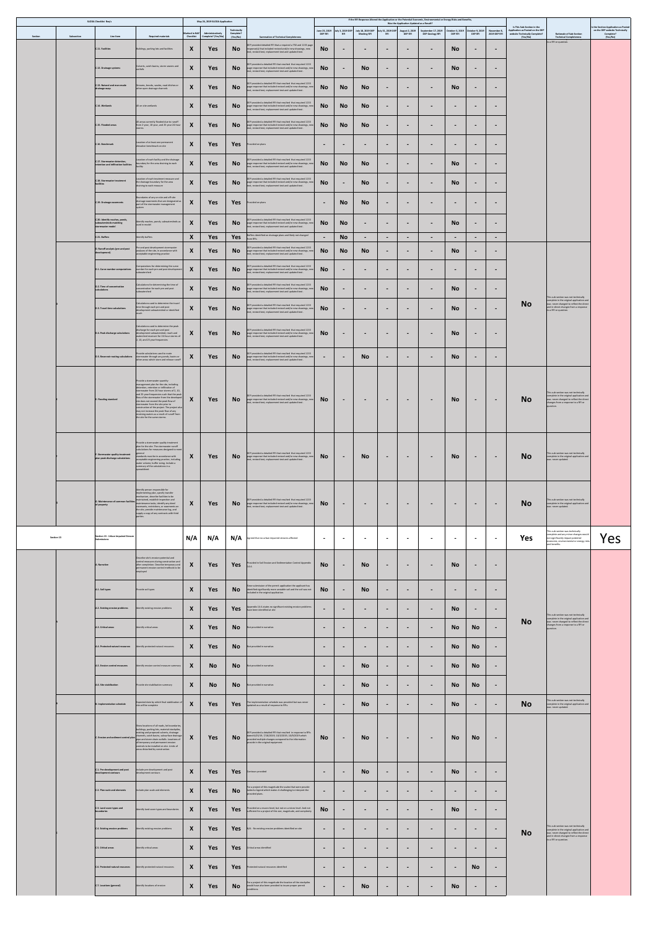|            |            | <b>SLODA Checklist Req's</b>                                                 |                                                                                                                                                                                                                                                                 |                                   | May 24, 2019 SLODA Application         |                                      |                                                                                                                                                                                                |                                 |                  |                                                           |                          | Was the Application Updated as a Result? | If the RFI Response Altered the Application or the Potential Economic, Environmental or Energy Risks and Benefits, |                                                       |                |                                    | Is This Sub-Section in the                                                    |                                                                                                                                                                                               | Is the Section Application as Posted                    |
|------------|------------|------------------------------------------------------------------------------|-----------------------------------------------------------------------------------------------------------------------------------------------------------------------------------------------------------------------------------------------------------------|-----------------------------------|----------------------------------------|--------------------------------------|------------------------------------------------------------------------------------------------------------------------------------------------------------------------------------------------|---------------------------------|------------------|-----------------------------------------------------------|--------------------------|------------------------------------------|--------------------------------------------------------------------------------------------------------------------|-------------------------------------------------------|----------------|------------------------------------|-------------------------------------------------------------------------------|-----------------------------------------------------------------------------------------------------------------------------------------------------------------------------------------------|---------------------------------------------------------|
| Section    | Subsection | Line Item                                                                    | <b>Required materials</b>                                                                                                                                                                                                                                       | Marked in NAF<br><b>Checklist</b> | Administratively<br>Complete? (Yes/No) | Technically<br>Complete?<br>(Yes/No) | <b>Summation of Technical Completeness</b>                                                                                                                                                     | June 25, 2019<br><b>DEP RFI</b> | July 3, 2019 DEP | July 18, 2019 DEP July 31, 2019 DEP<br><b>Meeting RFI</b> | <b>RFI</b>               | <b>August 2, 2019</b><br><b>DEP RFI</b>  | September 17, 2019<br><b>DEP Geology RFI</b>                                                                       | October 3, 2019   October 9, 2019  <br><b>DEP RFI</b> | <b>DEP RFI</b> | November 8,<br><b>2019 DEP RFI</b> | Application as Posted on the DEP<br>website Technically Complete?<br>(Yes/No) | <b>Rationale of Sub-Section</b><br>Technical Completeness<br>ru rogponat                                                                                                                      | on the DEP website Technically<br>Complete?<br>(Yes/No) |
|            |            | C.11. Facilities                                                             | Buildings, parking lots and facilities                                                                                                                                                                                                                          | $\boldsymbol{\Lambda}$            | Yes                                    | <b>No</b>                            | DEP provided detailed RFI that a required a 750 and 1133 page<br>esponse(s) that included revised and/or new drawings, new<br>text, revised text, replacement text and updated text.           | <b>No</b>                       | $\blacksquare$   | $\blacksquare$                                            | $\blacksquare$           |                                          | $\blacksquare$                                                                                                     | <b>No</b>                                             | $\blacksquare$ | $\blacksquare$                     |                                                                               | to a RFI or question.                                                                                                                                                                         |                                                         |
|            |            | C.12. Drainage systems                                                       | Culverts, catch basins, storm sewers and<br>outfalls                                                                                                                                                                                                            | $\boldsymbol{\Lambda}$            | <b>Yes</b>                             | No l                                 | DEP provided a detailed RFI that resulted that required 1133<br>bage response that included revised and/or new drawings, new $\vert$<br>text, revised text, replacement text and updated text. | <b>No</b>                       | $\blacksquare$   | <b>No</b>                                                 | $\sim$                   | $\sim$                                   | $\blacksquare$                                                                                                     | <b>No</b>                                             | $\blacksquare$ | $\blacksquare$                     |                                                                               |                                                                                                                                                                                               |                                                         |
|            |            | C.13. Natural and man-made<br>drainage ways                                  | Streams, brooks, swales, road ditches or<br>other open drainage channels                                                                                                                                                                                        | $\mathbf{\Lambda}$                | <b>Yes</b>                             | No l                                 | DEP provided a detailed RFI that resulted that required 1133<br>bage response that included revised and/or new drawings, new $\vert$<br>text, revised text, replacement text and updated text. | <b>No</b>                       | <b>No</b>        | <b>No</b>                                                 | $\blacksquare$           |                                          | $\blacksquare$                                                                                                     | <b>No</b>                                             | $\sim$         | $\sim$                             |                                                                               |                                                                                                                                                                                               |                                                         |
|            |            | C.14. Wetlands                                                               | All on-site wetlands                                                                                                                                                                                                                                            | $\mathbf{\Lambda}$                | <b>Yes</b>                             | <b>No</b>                            | DEP provided a detailed RFI that resulted that required 1133<br>page response that included revised and/or new drawings, new  <br>text, revised text, replacement text and updated text.       | <b>No</b>                       | <b>No</b>        | <b>No</b>                                                 | $\sim$                   |                                          | $\blacksquare$                                                                                                     | $\blacksquare$                                        | $\blacksquare$ | $\sim$                             |                                                                               |                                                                                                                                                                                               |                                                         |
|            |            | C.15. Flooded areas                                                          | All areas currently flooded due to runoff<br>from 2-year, 10-year, and 25-year 24-hour                                                                                                                                                                          | $\mathbf{A}$                      | <b>Yes</b>                             | <b>No</b>                            | DEP provided a detailed RFI that resulted that required 1133<br>page response that included revised and/or new drawings, new<br>text, revised text, replacement text and updated text.         | <b>No</b>                       | <b>No</b>        | <b>No</b>                                                 | $\sim$                   | $\blacksquare$                           | $\blacksquare$                                                                                                     | $\blacksquare$                                        | $\sim$         | $\sim$                             |                                                                               |                                                                                                                                                                                               |                                                         |
|            |            | C.16. Benchmark                                                              | Location of at least one permanent<br>elevation benchmark on site                                                                                                                                                                                               | $\mathbf{\Lambda}$                | <b>Yes</b>                             | Yes                                  | Provided on plans                                                                                                                                                                              | $\blacksquare$                  | $\qquad \qquad$  | $\blacksquare$                                            | $\blacksquare$           | $\blacksquare$                           | $\blacksquare$                                                                                                     | $\blacksquare$                                        | $\blacksquare$ | $\sim$                             |                                                                               |                                                                                                                                                                                               |                                                         |
|            |            | C.17. Stormwater detention,<br>retention and infiltration facilities         | Location of each facility and the drainage<br>boundary for the area draining to each                                                                                                                                                                            | X                                 | <b>Yes</b>                             | No l                                 | DEP provided a detailed RFI that resulted that required 1133<br>page response that included revised and/or new drawings, new<br>text, revised text, replacement text and updated text.         | <b>No</b>                       | No l             | No.                                                       | $\blacksquare$           |                                          | $\qquad \qquad$                                                                                                    | <b>No</b>                                             | $\blacksquare$ | $\blacksquare$                     |                                                                               |                                                                                                                                                                                               |                                                         |
|            |            | C.18. Stormwater treatment<br>facilities                                     | Location of each treatment measure and<br>the drainage boundary for the area<br>draining to each measure                                                                                                                                                        | $\mathbf{A}$                      | <b>Yes</b>                             | No                                   | DEP provided a detailed RFI that resulted that required 1133<br>page response that included revised and/or new drawings, new<br>text, revised text, replacement text and updated text.         | <b>No</b>                       | $\sim$           | <b>No</b>                                                 | $\sim$                   | $\blacksquare$                           | $\sim$                                                                                                             | <b>No</b>                                             | $\blacksquare$ | $\blacksquare$                     |                                                                               |                                                                                                                                                                                               |                                                         |
|            |            | C.19. Drainage easements                                                     | Boundaries of any on-site and off-site<br>drainage easements that are designated as<br>part of the stormwater management                                                                                                                                        | $\mathbf{\Lambda}$                | <b>Yes</b>                             | Yes                                  | Provided on plans                                                                                                                                                                              | $\overline{\phantom{a}}$        | No l             | <b>No</b>                                                 | $\overline{\phantom{0}}$ | $\blacksquare$                           | $\blacksquare$                                                                                                     | $\blacksquare$                                        | $\blacksquare$ | $\blacksquare$                     |                                                                               |                                                                                                                                                                                               |                                                         |
|            |            | C.20. Identify reaches, ponds,<br>subwatersheds matching<br>stormwater model | Identify reaches, ponds, subwatersheds as<br>used in model                                                                                                                                                                                                      | $\mathbf{\Lambda}$                | Yes                                    | No l                                 | DEP provided a detailed RFI that resulted that required 1133<br>page response that included revised and/or new drawings, new<br>text, revised text, replacement text and updated text.         | No                              | <b>No</b>        | $\blacksquare$                                            | $\overline{\phantom{a}}$ | $\blacksquare$                           | $\blacksquare$                                                                                                     | <b>No</b>                                             | $\sim$         | $\sim$                             |                                                                               |                                                                                                                                                                                               |                                                         |
|            |            | C.21. Buffers                                                                | Identify buffers                                                                                                                                                                                                                                                | $\boldsymbol{X}$                  | <b>Yes</b>                             | Yes                                  | Buffers identified on drainage plans and likely not changed<br>from RFIs                                                                                                                       | $\blacksquare$                  | No l             | $\blacksquare$                                            | $\blacksquare$           |                                          | $\blacksquare$                                                                                                     | $\blacksquare$                                        | $\blacksquare$ | $\sim$                             |                                                                               |                                                                                                                                                                                               |                                                         |
|            |            | D. Runoff analysis (pre and post<br>development)                             | Pre and post development stormwater<br>analyses of the site, in accordance with<br>acceptable engineering practice                                                                                                                                              | X                                 | <b>Yes</b>                             | No l                                 | DEP provided a detailed RFI that resulted that required 1133<br>page response that included revised and/or new drawings, new<br>text, revised text, replacement text and updated text.         | <b>No</b>                       | <b>No</b>        | <b>No</b>                                                 | $\sim$                   | $\sim$                                   | $\qquad \qquad$                                                                                                    | <b>No</b>                                             | $\blacksquare$ | $\sim$                             |                                                                               |                                                                                                                                                                                               |                                                         |
|            |            | D.1. Curve number computations                                               | Computations for determining the curve<br>number for each pre and post development<br>subwatershed                                                                                                                                                              | $\mathbf{\Lambda}$                | Yes                                    | No l                                 | DEP provided a detailed RFI that resulted that required 1133<br>page response that included revised and/or new drawings, new<br>text, revised text, replacement text and updated text.         | No.                             | $\blacksquare$   | $\blacksquare$                                            | $\overline{\phantom{0}}$ | $\blacksquare$                           | $\blacksquare$                                                                                                     | $\blacksquare$                                        | $\blacksquare$ | $\blacksquare$                     |                                                                               |                                                                                                                                                                                               |                                                         |
|            |            | D.2. Time of concentration<br>calculations                                   | Calculations for determining the time of<br>concentration for each pre and post<br>subwatershed                                                                                                                                                                 | $\mathbf{A}$                      | Yes                                    | No l                                 | DEP provided a detailed RFI that resulted that required 1133<br>bage response that included revised and/or new drawings, new<br>text, revised text, replacement text and updated text.         | No.                             | $\sim$           | $\blacksquare$                                            | $\blacksquare$           | $\blacksquare$                           | $\blacksquare$                                                                                                     | <b>No</b>                                             | $\blacksquare$ | $\blacksquare$                     |                                                                               |                                                                                                                                                                                               |                                                         |
|            |            | D.3. Travel time calculations                                                | Calculations used to determine the travel<br>time through each pre and post<br>development subwatershed or identified                                                                                                                                           | $\boldsymbol{X}$                  | <b>Yes</b>                             | No l                                 | DEP provided a detailed RFI that resulted that required 1133<br>page response that included revised and/or new drawings, new<br>text, revised text, replacement text and updated text.         | <b>No</b>                       | $\blacksquare$   | $\blacksquare$                                            | $\blacksquare$           |                                          | $\blacksquare$                                                                                                     | <b>No</b>                                             | $\blacksquare$ | $\mathbf{r}$                       | <b>No</b>                                                                     | This sub-section was not technically<br>complete in the original application and<br>was never changed to reflect the direct<br>and in-direct changes from a response<br>to a RFI or question. |                                                         |
|            |            | D.4. Peak discharge calculations                                             | Calculations used to determine the peak<br>discharge for each pre and post<br>development subwatershed, reach and                                                                                                                                               | $\mathbf{X}$                      | Yes                                    | <b>No</b>                            | DEP provided a detailed RFI that resulted that required 1133<br>page response that included revised and/or new drawings, new                                                                   | <b>No</b>                       | $\blacksquare$   | $\sim$                                                    | $\sim$                   | $\sim$                                   | $\sim$                                                                                                             | <b>No</b>                                             | $\sim$         | $\sim$                             |                                                                               |                                                                                                                                                                                               |                                                         |
|            |            |                                                                              | watershed reservoir for 24-hour storms of<br>2, 10, and 25 year frequencies<br>Provide calculations used to route                                                                                                                                               |                                   |                                        |                                      | text, revised text, replacement text and updated text.<br>DEP provided a detailed RFI that resulted that required 1133                                                                         |                                 |                  |                                                           |                          |                                          |                                                                                                                    |                                                       |                |                                    |                                                                               |                                                                                                                                                                                               |                                                         |
|            |            | D.5. Reservoir routing calculations                                          | stormwater through any ponds, basins or<br>other areas which store and release runoff                                                                                                                                                                           | X                                 | Yes                                    | No l                                 | page response that included revised and/or new drawings, new<br>text, revised text, replacement text and updated text.                                                                         | $\blacksquare$                  | $\blacksquare$   | <b>No</b>                                                 | $\blacksquare$           | $\blacksquare$                           | $\sim$                                                                                                             | <b>No</b>                                             | $\blacksquare$ | $\sim$                             |                                                                               |                                                                                                                                                                                               |                                                         |
|            |            |                                                                              | Provide a stormwater quantity<br>management plan for the site, including<br>detention, retention or infiltration of<br>stormwater from 24-hour storms of 2, 10,                                                                                                 |                                   |                                        |                                      |                                                                                                                                                                                                |                                 |                  |                                                           |                          |                                          |                                                                                                                    |                                                       |                |                                    |                                                                               | This sub-section was not technically                                                                                                                                                          |                                                         |
|            |            | E. Flooding standard                                                         | and 25-year frequencies such that the peak<br>flow of the stormwater from the developed<br>site does not exceed the peak flow of<br>stormwater from the site prior to<br>construction of the project. The project also<br>may not increase the peak flow of any | $\mathbf{A}$                      | Yes                                    | No l                                 | DEP provided a detailed RFI that resulted that required 1133<br>page response that included revised and/or new drawings, new<br>text, revised text, replacement text and updated text.         | No                              | $\blacksquare$   | $\blacksquare$                                            | $\blacksquare$           | $\blacksquare$                           | $\blacksquare$                                                                                                     | <b>No</b>                                             | $\blacksquare$ | $\sim$                             | <b>No</b>                                                                     | complete in the original application and<br>was never changed to reflect the direct<br>changes from a response to a RFI or<br>question.                                                       |                                                         |
|            |            |                                                                              | receiving waters as a result of runoff from<br>the site for the same storms.                                                                                                                                                                                    |                                   |                                        |                                      |                                                                                                                                                                                                |                                 |                  |                                                           |                          |                                          |                                                                                                                    |                                                       |                |                                    |                                                                               |                                                                                                                                                                                               |                                                         |
|            |            |                                                                              | Provide a stormwater quality treatment                                                                                                                                                                                                                          |                                   |                                        |                                      |                                                                                                                                                                                                |                                 |                  |                                                           |                          |                                          |                                                                                                                    |                                                       |                |                                    |                                                                               |                                                                                                                                                                                               |                                                         |
|            |            | F. Stormwater quality treatment<br>plan peak discharge calculations          | plan for the site. The stormwater runoff<br>calculations for measures designed to meet<br>general<br>standards must be in accordance with<br>acceptable engineering practice, including                                                                         | $\boldsymbol{\Lambda}$            | <b>Yes</b>                             | No l                                 | DEP provided a detailed RFI that resulted that required 1133<br>page response that included revised and/or new drawings, new<br>text, revised text, replacement text and updated text.         | <b>No</b>                       | $\sim$           | <b>No</b>                                                 | $\blacksquare$           | $\blacksquare$                           | $\blacksquare$                                                                                                     | <b>No</b>                                             | $\sim$         | $\sim$                             | <b>No</b>                                                                     | This sub-section was not technically<br>complete in the original application and<br>was never updated.                                                                                        |                                                         |
|            |            |                                                                              | water volume, buffer sizing. Include a<br>summary of the calculations in a<br>spreadsheet                                                                                                                                                                       |                                   |                                        |                                      |                                                                                                                                                                                                |                                 |                  |                                                           |                          |                                          |                                                                                                                    |                                                       |                |                                    |                                                                               |                                                                                                                                                                                               |                                                         |
|            |            |                                                                              | Identify person responsible for<br>implementing plan, specify transfer<br>mechanism, describe facilities to be<br>maintained, establish inspection and                                                                                                          |                                   |                                        |                                      | DEP provided a detailed RFI that resulted that required 1133                                                                                                                                   |                                 |                  |                                                           |                          |                                          |                                                                                                                    |                                                       |                |                                    |                                                                               | This sub-section was not technically                                                                                                                                                          |                                                         |
|            |            | G. Maintenance of common facilitie<br>of property                            | maintenance tasks, identify any deed<br>covenants, restrictions, or easements on<br>the site, provide maintenance log, and<br>supply a copy of any contracts with third<br>parties.                                                                             | $\mathbf{\Lambda}$                | <b>Yes</b>                             | No l                                 | age response that included revised and/or new drawings, new<br>text, revised text, replacement text and updated text.                                                                          | <b>No</b>                       | $\blacksquare$   | $\blacksquare$                                            | $\sim$                   | $\sim$                                   | $\sim$                                                                                                             | $\blacksquare$                                        | $\sim$         | $\sim$                             | <b>No</b>                                                                     | complete in the original application and<br>was never updated.                                                                                                                                |                                                         |
| Section 13 |            | Section 13 - Urban Impaired Stream<br><b>Submissions</b>                     |                                                                                                                                                                                                                                                                 | N/A                               | N/A                                    | N/A                                  | Agreed that no urban impaired streams affected                                                                                                                                                 | $\blacksquare$                  | $\blacksquare$   | $\blacksquare$                                            | $\blacksquare$           |                                          | $\blacksquare$                                                                                                     | $\blacksquare$                                        | $\blacksquare$ | $\mathbf{r}$                       | Yes                                                                           | This sub-section was technically<br>complete and any minor changes would<br>not significantly impact potential                                                                                | .es                                                     |
|            |            |                                                                              | Describe site's erosion potential and                                                                                                                                                                                                                           |                                   |                                        |                                      |                                                                                                                                                                                                |                                 |                  |                                                           |                          |                                          |                                                                                                                    |                                                       |                |                                    |                                                                               | economic, environmental or energy risks<br>and benefits.                                                                                                                                      |                                                         |
|            |            | A. Narrative                                                                 | control measures during construction and<br>after completion. Describe temporary and<br>permanent erosion control methods to be<br>employed                                                                                                                     | $\mathbf{X}$                      | <b>Yes</b>                             | Yes                                  | Provided in Soil Erosion and Sedimentation Control Appendix<br>$14-A$                                                                                                                          | <b>No</b>                       | $\sim$           | <b>No</b>                                                 | $\sim$                   | $\blacksquare$                           | $\blacksquare$                                                                                                     | <b>No</b>                                             | $\blacksquare$ | $\sim$                             |                                                                               |                                                                                                                                                                                               |                                                         |
|            |            | A.1. Soil types                                                              | Provide soil types                                                                                                                                                                                                                                              | $\boldsymbol{\Lambda}$            | <b>Yes</b>                             | No l                                 | Since submission of the permit application the applicant has<br>identified significantly more unstable soil and the soil was not<br>included in the original application.                      | <b>No</b>                       | $\blacksquare$   | <b>No</b>                                                 | $\sim$                   | $\blacksquare$                           | $\sim$                                                                                                             | $\blacksquare$                                        | $\blacksquare$ | $\blacksquare$                     |                                                                               |                                                                                                                                                                                               |                                                         |
|            |            | A.2. Existing erosion problems                                               | Identify existing erosion problems                                                                                                                                                                                                                              | $\boldsymbol{\Lambda}$            | <b>Yes</b>                             | Yes                                  | Appendix 14-A states no significant existing erosion problems<br>have been identified at site                                                                                                  | $\blacksquare$                  | $\blacksquare$   | $\blacksquare$                                            | $\blacksquare$           |                                          | $\blacksquare$                                                                                                     | <b>No</b>                                             | $\blacksquare$ | $\sim$                             |                                                                               | This sub-section was not technically<br>complete in the original application and                                                                                                              |                                                         |
|            |            | A.3. Critical areas                                                          | Identify critical areas                                                                                                                                                                                                                                         | $\boldsymbol{X}$                  | <b>Yes</b>                             | No l                                 | Not provided in narrative.                                                                                                                                                                     | $\blacksquare$                  | $\blacksquare$   | $\sim$                                                    | $\blacksquare$           | $\blacksquare$                           | $\blacksquare$                                                                                                     | <b>No</b>                                             | <b>No</b>      | $\sim$                             | <b>No</b>                                                                     | was never changed to reflect the direct<br>changes from a response to a RFI or<br>question.                                                                                                   |                                                         |
|            |            | A.4. Protected natural resources                                             | Identify protected natural resources                                                                                                                                                                                                                            | X                                 | <b>Yes</b>                             | No l                                 | Not provided in narrative.                                                                                                                                                                     | $\blacksquare$                  | $\blacksquare$   | $\overline{\phantom{a}}$                                  | $\sim$                   | $\blacksquare$                           | $\qquad \qquad$                                                                                                    | <b>No</b>                                             | <b>No</b>      | $\sim$                             |                                                                               |                                                                                                                                                                                               |                                                         |
|            |            | A.5. Erosion control measures                                                | Identify erosion control measure summary                                                                                                                                                                                                                        |                                   | No l                                   | No l                                 | Not provided in narrative.                                                                                                                                                                     | $\blacksquare$                  | $\blacksquare$   | <b>No</b>                                                 | $\sim$                   | $\blacksquare$                           | $\blacksquare$                                                                                                     | <b>No</b>                                             | <b>No</b>      | $\blacksquare$                     |                                                                               |                                                                                                                                                                                               |                                                         |
|            |            | A.6. Site stabilization                                                      | Provide site stabilization summary                                                                                                                                                                                                                              | $\mathbf{\Lambda}$                | No l                                   | No l                                 | Not provided in narrative.                                                                                                                                                                     | $\blacksquare$                  | $\blacksquare$   | <b>No</b>                                                 | $\sim$                   | $\blacksquare$                           | $\blacksquare$                                                                                                     | <b>No</b>                                             | <b>No</b>      | $\sim$                             |                                                                               |                                                                                                                                                                                               |                                                         |
|            |            | <b>B. Implementation schedule</b>                                            | Expected date by which final stabilization of<br>site will be complete                                                                                                                                                                                          | $\mathbf{\Lambda}$                | Yes                                    | Yes                                  | The implementation schedule was provided but was never<br>updated as a result of response to RFIs.                                                                                             | $\blacksquare$                  | $\sim$           | <b>No</b>                                                 | $\blacksquare$           | $\blacksquare$                           | $\blacksquare$                                                                                                     | <b>No</b>                                             | $\blacksquare$ | $\sim$                             | <b>No</b>                                                                     | This sub-section was not technically<br>complete in the original application and<br>was never updated.                                                                                        |                                                         |
|            |            |                                                                              | Show locations of all roads, lot boundaries,<br>buildings, parking lots, material stockpiles,<br>existing and proposed culverts, drainage                                                                                                                       |                                   |                                        |                                      | DEP provided a detailed RFI that resulted in response to RFIs                                                                                                                                  |                                 |                  |                                                           |                          |                                          |                                                                                                                    |                                                       |                |                                    |                                                                               |                                                                                                                                                                                               |                                                         |
|            |            | C. Erosion and sediment control plan                                         | channels, catch basins, subsurface drainage<br>pipe and storm drain outfalls. Locations of<br>all temporary and permanent erosion<br>controls to be installed on site. Limits of<br>areas disturbed by construction.                                            | $\boldsymbol{\Lambda}$            | Yes                                    | <b>No</b>                            | dated 6/25/19, 7/18/2019, 10/3/2019, 10/9/2019 which<br>provided multiple changes compared to the information<br>provide in the original equipment.                                            | <b>No</b>                       | $\sim$           | <b>No</b>                                                 | $\sim$                   | $\sim$                                   | $\sim$                                                                                                             | <b>No</b>                                             | <b>No</b>      | $\sim$                             |                                                                               |                                                                                                                                                                                               |                                                         |
|            |            | C.1. Pre-development and post                                                | Include pre-development and post                                                                                                                                                                                                                                | $\mathbf{A}$                      | <b>Yes</b>                             | <b>Yes</b>                           | Contours provided                                                                                                                                                                              | $\blacksquare$                  | $\blacksquare$   | No                                                        | $\sim$                   | $\blacksquare$                           | $\blacksquare$                                                                                                     | <b>No</b>                                             | $\sim$         | $\blacksquare$                     |                                                                               |                                                                                                                                                                                               |                                                         |
|            |            | development contours<br>C.2. Plan scale and elements                         | development contours<br>Include plan scale and elements                                                                                                                                                                                                         | $\mathbf{\Lambda}$                | <b>Yes</b>                             | <b>No</b>                            | For a project of this magnitude the scales that were provide<br>lacked a legend which makes it challenging to interpret the                                                                    | $\blacksquare$                  | $\blacksquare$   | $\blacksquare$                                            | $\blacksquare$           |                                          | $\blacksquare$                                                                                                     | $\sim$                                                | $\blacksquare$ | $\sim$                             |                                                                               |                                                                                                                                                                                               |                                                         |
|            |            | C.3. Land cover types and<br>boundaries                                      | Identify land cover types and boundaries                                                                                                                                                                                                                        | $\mathbf{\Lambda}$                | <b>Yes</b>                             | Yes                                  | provided plans.<br>Provided on a macro-level, but not on a micro-level. And not<br>sufficient for a project of this size, magnitude, and complexity                                            | <b>No</b>                       | $\blacksquare$   | $\sim$                                                    | $\blacksquare$           | $\blacksquare$                           | $\blacksquare$                                                                                                     | <b>No</b>                                             | $\sim$         | $\overline{\phantom{a}}$           |                                                                               |                                                                                                                                                                                               |                                                         |
|            |            | C.4. Existing erosion problems                                               | Identify existing erosion problems                                                                                                                                                                                                                              | X                                 | <b>Yes</b>                             | Yes                                  | N/A - No existing erosion problems identified on site                                                                                                                                          | $\blacksquare$                  | $\blacksquare$   | $\sim$                                                    | $\overline{\phantom{a}}$ | $\blacksquare$                           | $\blacksquare$                                                                                                     | $\blacksquare$                                        | $\blacksquare$ | $\blacksquare$                     |                                                                               | This sub-section was not technically<br>complete in the original application and                                                                                                              |                                                         |
|            |            | C.5. Critical areas                                                          | Identify critical areas                                                                                                                                                                                                                                         | X                                 | <b>Yes</b>                             | Yes                                  | Critical areas identified                                                                                                                                                                      | $\blacksquare$                  | $\blacksquare$   | $\blacksquare$                                            | $\sim$                   | $\blacksquare$                           | $\blacksquare$                                                                                                     | $\blacksquare$                                        | $\sim$         | $\sim$                             | <b>No</b>                                                                     | was never changed to reflect the direct<br>and in-direct changes from a response<br>to a RFI or question.                                                                                     |                                                         |
|            |            |                                                                              |                                                                                                                                                                                                                                                                 |                                   |                                        |                                      |                                                                                                                                                                                                |                                 |                  |                                                           |                          |                                          |                                                                                                                    |                                                       |                |                                    |                                                                               |                                                                                                                                                                                               |                                                         |
|            |            | C.6. Protected natural resources                                             | Identify protected natural resources                                                                                                                                                                                                                            |                                   | <b>Yes</b>                             | Yes                                  | Protected natural resources identified                                                                                                                                                         | $\blacksquare$                  | $\blacksquare$   |                                                           | $\blacksquare$           |                                          |                                                                                                                    |                                                       | <b>No</b>      | $\blacksquare$                     |                                                                               |                                                                                                                                                                                               |                                                         |

|                          | .                             | $\overline{\phantom{a}}$               | $\overline{\phantom{a}}$ | - I CJ    |                                                                                                                                   |     |           |  |           | - I T V |  |
|--------------------------|-------------------------------|----------------------------------------|--------------------------|-----------|-----------------------------------------------------------------------------------------------------------------------------------|-----|-----------|--|-----------|---------|--|
| C.7. Locations (general) | Identify locations of erosion | $\mathbf{v}$<br>$\boldsymbol{\Lambda}$ | Yes                      | <b>No</b> | For a project of this magnitude the location of the stockpiles<br>I have also been provided to insure proper permit<br>conditions | . . | <b>No</b> |  | <b>No</b> |         |  |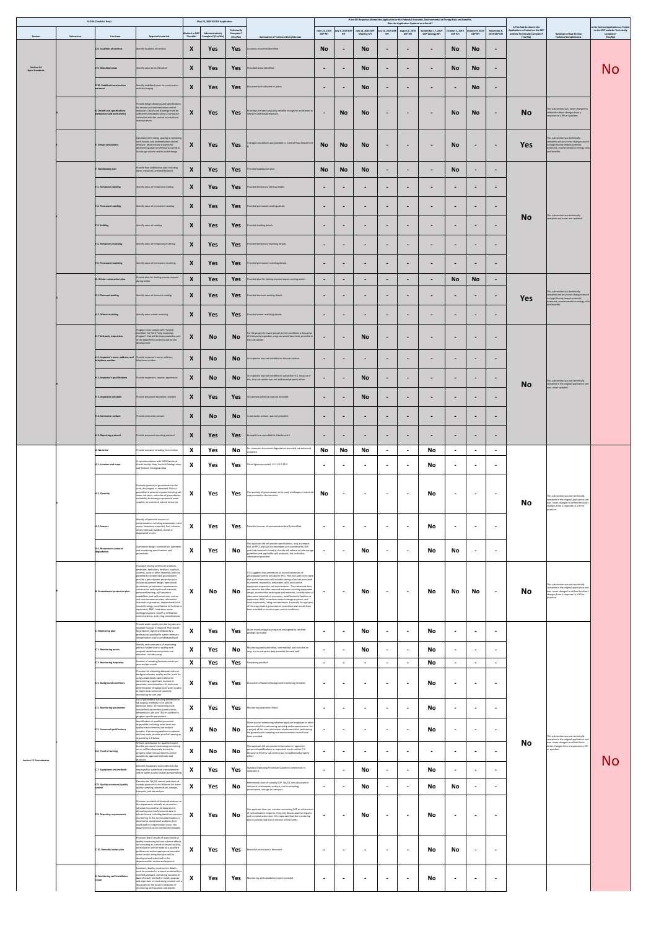|                                      |            | <b>SLODA Checklist Req's</b>                               |                                                                                                                                                                                                                                                                                                                                                                                                                                                                                                                                                                                                                                                                                                                   |                                                       | May 24, 2019 SLODA Application         | Technically                         |                                                                                                                                                                                                                                                                                                                                                                                                                                                                                                                                                                                                                                                                                                                                                                               | June 25, 2019               | July 3, 2019 DEP | July 18, 2019 DEP               | July 31, 2019 DEP                                           | Was the Application Updated as a Result?<br><b>August 2, 2019</b> | If the RFI Response Altered the Application or the Potential Economic, Environmental or Energy Risks and Benefits,<br>September 17, 2019 | October 3, 2019   October 9, 2019 |                             | November 8,                                             | Is This Sub-Section in the<br>Application as Posted on the DEP |                                                                                                                                                                                 | Is the Section Application as Posted<br>on the DEP website Technically |
|--------------------------------------|------------|------------------------------------------------------------|-------------------------------------------------------------------------------------------------------------------------------------------------------------------------------------------------------------------------------------------------------------------------------------------------------------------------------------------------------------------------------------------------------------------------------------------------------------------------------------------------------------------------------------------------------------------------------------------------------------------------------------------------------------------------------------------------------------------|-------------------------------------------------------|----------------------------------------|-------------------------------------|-------------------------------------------------------------------------------------------------------------------------------------------------------------------------------------------------------------------------------------------------------------------------------------------------------------------------------------------------------------------------------------------------------------------------------------------------------------------------------------------------------------------------------------------------------------------------------------------------------------------------------------------------------------------------------------------------------------------------------------------------------------------------------|-----------------------------|------------------|---------------------------------|-------------------------------------------------------------|-------------------------------------------------------------------|------------------------------------------------------------------------------------------------------------------------------------------|-----------------------------------|-----------------------------|---------------------------------------------------------|----------------------------------------------------------------|---------------------------------------------------------------------------------------------------------------------------------------------------------------------------------|------------------------------------------------------------------------|
| Section                              | Subsection | Line Item<br>C.8. Locations of controls                    | <b>Required materials</b><br>Identify locations of controls                                                                                                                                                                                                                                                                                                                                                                                                                                                                                                                                                                                                                                                       | Marked in NAF<br><b>Checklist</b><br>$\boldsymbol{X}$ | Administratively<br>Complete? (Yes/No) | Complete?<br>(Yes/No)<br><b>Yes</b> | <b>Summation of Technical Completeness</b><br>Locations of control identified                                                                                                                                                                                                                                                                                                                                                                                                                                                                                                                                                                                                                                                                                                 | <b>DEP RFI</b><br><b>No</b> |                  | <b>Meeting RFI</b><br><b>No</b> |                                                             | <b>DEP RFI</b>                                                    | <b>DEP Geology RFI</b>                                                                                                                   | <b>DEP RFI</b><br><b>No</b>       | <b>DEP RFI</b><br><b>No</b> | 2019 DEP RFI                                            | website Technically Complete?<br>(Yes/No)                      | <b>Rationale of Sub-Section</b><br><b>Technical Completeness</b>                                                                                                                | Complete?<br>(Yes/No)                                                  |
|                                      |            |                                                            |                                                                                                                                                                                                                                                                                                                                                                                                                                                                                                                                                                                                                                                                                                                   |                                                       | Yes                                    |                                     |                                                                                                                                                                                                                                                                                                                                                                                                                                                                                                                                                                                                                                                                                                                                                                               |                             |                  |                                 | $\blacksquare$                                              | $\blacksquare$                                                    | $\qquad \qquad$                                                                                                                          |                                   |                             | $\blacksquare$                                          |                                                                |                                                                                                                                                                                 |                                                                        |
| Section 14<br><b>Basic Standards</b> |            | C.9. Disturbed areas                                       | Identify areas to be disturbed                                                                                                                                                                                                                                                                                                                                                                                                                                                                                                                                                                                                                                                                                    | $\mathbf{v}$<br>$\boldsymbol{\Lambda}$                | <b>Yes</b>                             | Yes                                 | Disturbed areas identified.                                                                                                                                                                                                                                                                                                                                                                                                                                                                                                                                                                                                                                                                                                                                                   | $\blacksquare$              |                  | <b>No</b>                       | $\sim$                                                      | $\blacksquare$                                                    | $\blacksquare$                                                                                                                           | <b>No</b>                         | <b>No</b>                   | $\blacksquare$                                          |                                                                |                                                                                                                                                                                 | No                                                                     |
|                                      |            | C.10. Stabilized construction<br>entrance                  | Identify stabilized areas for construction<br>vehicles/staging                                                                                                                                                                                                                                                                                                                                                                                                                                                                                                                                                                                                                                                    | $\mathbf{M}$<br>$\Lambda$                             | <b>Yes</b>                             | Yes                                 | Discussed and indicated on plans.                                                                                                                                                                                                                                                                                                                                                                                                                                                                                                                                                                                                                                                                                                                                             | $\blacksquare$              |                  | <b>No</b>                       | $\blacksquare$                                              | $\blacksquare$                                                    | $\blacksquare$                                                                                                                           | $\sim$                            | <b>No</b>                   | $\blacksquare$                                          |                                                                |                                                                                                                                                                                 |                                                                        |
|                                      |            | D. Details and specifications<br>(temporary and permanent) | Provide design drawings and specifications<br>for erosion and sedimentation control<br>measures. Details and drawings must be<br>sufficiently detailed to allow a contractor<br>unfamiliar with the control to install and<br>maintain them.                                                                                                                                                                                                                                                                                                                                                                                                                                                                      | $\mathbf{v}$<br>$\mathbf{\Lambda}$                    | <b>Yes</b>                             | Yes                                 | Drawings and specs arguably detailed enough for contractor to<br>interpret and install/maintain.                                                                                                                                                                                                                                                                                                                                                                                                                                                                                                                                                                                                                                                                              | $\blacksquare$              | <b>No</b>        | <b>No</b>                       | $\sim$                                                      | $\sim$                                                            | $\blacksquare$                                                                                                                           | <b>No</b>                         | <b>No</b>                   | $\sim$                                                  | <b>No</b>                                                      | This sub-section was never changed to<br>reflect the direct changes from a<br>response to a RFI or question.                                                                    |                                                                        |
|                                      |            | <b>E. Design calculations</b>                              | Calculations for sizing, spacing or stabilizing<br>each erosion and sedimentation control<br>measure. Must include analyses for<br>determining peak runoff flow to a control,<br>its storage volume and its outlet design.                                                                                                                                                                                                                                                                                                                                                                                                                                                                                        | X                                                     | <b>Yes</b>                             | Yes                                 | A design calculations was provided in Control Plan Attachment                                                                                                                                                                                                                                                                                                                                                                                                                                                                                                                                                                                                                                                                                                                 | <b>No</b>                   | <b>No</b>        | <b>No</b>                       | $\sim$                                                      | $\blacksquare$                                                    | $\sim$                                                                                                                                   | <b>No</b>                         | $\sim$                      | $\sim$                                                  | <b>Yes</b>                                                     | This sub-section was technically<br>complete and any minor changes would<br>not significantly impact potential<br>economic, environmental or energy risks<br>and benefits.      |                                                                        |
|                                      |            | F. Stabilization plan                                      | Provide final stabilization plan including<br>dates, measures, and maintenance                                                                                                                                                                                                                                                                                                                                                                                                                                                                                                                                                                                                                                    | X                                                     | <b>Yes</b>                             | Yes                                 | Provided stabilization plan                                                                                                                                                                                                                                                                                                                                                                                                                                                                                                                                                                                                                                                                                                                                                   | <b>No</b>                   | <b>No</b>        | <b>No</b>                       | $\sim$                                                      | $\blacksquare$                                                    | $\blacksquare$                                                                                                                           | <b>No</b>                         |                             | $\blacksquare$                                          |                                                                |                                                                                                                                                                                 |                                                                        |
|                                      |            | F.1. Temporary seeding                                     | Identify areas of temporary seeding                                                                                                                                                                                                                                                                                                                                                                                                                                                                                                                                                                                                                                                                               | $\boldsymbol{\Lambda}$                                | <b>Yes</b>                             | <b>Yes</b>                          | Provided temporary seeding details                                                                                                                                                                                                                                                                                                                                                                                                                                                                                                                                                                                                                                                                                                                                            | $\blacksquare$              |                  | $\blacksquare$                  | $\blacksquare$                                              | $\blacksquare$                                                    | $\blacksquare$                                                                                                                           | $\blacksquare$                    | $\blacksquare$              | $\blacksquare$                                          |                                                                |                                                                                                                                                                                 |                                                                        |
|                                      |            |                                                            |                                                                                                                                                                                                                                                                                                                                                                                                                                                                                                                                                                                                                                                                                                                   |                                                       |                                        |                                     |                                                                                                                                                                                                                                                                                                                                                                                                                                                                                                                                                                                                                                                                                                                                                                               |                             |                  |                                 |                                                             |                                                                   |                                                                                                                                          |                                   |                             |                                                         |                                                                |                                                                                                                                                                                 |                                                                        |
|                                      |            | <b>F.2. Permanent seeding</b>                              | Identify areas of permanent seeding                                                                                                                                                                                                                                                                                                                                                                                                                                                                                                                                                                                                                                                                               | $\bm{X}$                                              | Yes                                    | Yes                                 | Provided permanent seeding details                                                                                                                                                                                                                                                                                                                                                                                                                                                                                                                                                                                                                                                                                                                                            | $\blacksquare$              |                  | $\blacksquare$                  | $\blacksquare$                                              | $\blacksquare$                                                    | $\blacksquare$                                                                                                                           | $\blacksquare$                    | $\blacksquare$              | $\blacksquare$                                          | <b>No</b>                                                      | This sub-section was technically<br>complete and never was updated.                                                                                                             |                                                                        |
|                                      |            | F.3. Sodding                                               | Identify areas of sodding                                                                                                                                                                                                                                                                                                                                                                                                                                                                                                                                                                                                                                                                                         | $\boldsymbol{X}$                                      | <b>Yes</b>                             | Yes                                 | Provided sodding details                                                                                                                                                                                                                                                                                                                                                                                                                                                                                                                                                                                                                                                                                                                                                      | $\blacksquare$              | $\blacksquare$   | $\blacksquare$                  | $\sim$                                                      | $\blacksquare$                                                    | $\blacksquare$                                                                                                                           | $\blacksquare$                    | $\blacksquare$              | $\sim$                                                  |                                                                |                                                                                                                                                                                 |                                                                        |
|                                      |            | F.4. Temporary mulching                                    | Identify areas of temporary mulching                                                                                                                                                                                                                                                                                                                                                                                                                                                                                                                                                                                                                                                                              | $\boldsymbol{\Lambda}$                                | Yes                                    | Yes                                 | Provided temporary mulching details                                                                                                                                                                                                                                                                                                                                                                                                                                                                                                                                                                                                                                                                                                                                           | $\blacksquare$              | $\blacksquare$   | $\blacksquare$                  | $\sim$                                                      | $\blacksquare$                                                    | $\sim$                                                                                                                                   | $\sim$                            | $\blacksquare$              | $\blacksquare$                                          |                                                                |                                                                                                                                                                                 |                                                                        |
|                                      |            | F.5. Permanent mulching                                    | Identify areas of permanent mulching                                                                                                                                                                                                                                                                                                                                                                                                                                                                                                                                                                                                                                                                              | $\boldsymbol{\Lambda}$                                | <b>Yes</b>                             | Yes                                 | Provided permanent mulching details                                                                                                                                                                                                                                                                                                                                                                                                                                                                                                                                                                                                                                                                                                                                           | $\blacksquare$              |                  | $\sim$                          | $\blacksquare$                                              | $\blacksquare$                                                    | $\sim$                                                                                                                                   | $\sim$                            |                             | $\blacksquare$                                          |                                                                |                                                                                                                                                                                 |                                                                        |
|                                      |            | G. Winter construction plan                                | Provide plan for limiting erosion impacts<br>during winter                                                                                                                                                                                                                                                                                                                                                                                                                                                                                                                                                                                                                                                        | $\boldsymbol{\mathcal{U}}$<br>$\Lambda$               | Yes                                    | Yes                                 | Provided plan for limiting erosion impacts during winter                                                                                                                                                                                                                                                                                                                                                                                                                                                                                                                                                                                                                                                                                                                      | $\blacksquare$              | $\blacksquare$   | $\blacksquare$                  | $\blacksquare$                                              | $\blacksquare$                                                    | $\sim$                                                                                                                                   | <b>No</b>                         | <b>No</b>                   | $\sim$                                                  |                                                                |                                                                                                                                                                                 |                                                                        |
|                                      |            | G.1. Dormant seeding                                       | Identify areas of dormant seeding                                                                                                                                                                                                                                                                                                                                                                                                                                                                                                                                                                                                                                                                                 | $\boldsymbol{\Lambda}$                                | <b>Yes</b>                             | <b>Yes</b>                          | Provided dormant seeding details                                                                                                                                                                                                                                                                                                                                                                                                                                                                                                                                                                                                                                                                                                                                              | $\blacksquare$              |                  | $\blacksquare$                  | $\blacksquare$                                              | $\mathbf{r}$                                                      | $\blacksquare$                                                                                                                           | $\blacksquare$                    | $\blacksquare$              | $\blacksquare$                                          | <b>Yes</b>                                                     | This sub-section was technically<br>complete and any minor changes would<br>not significantly impact potential                                                                  |                                                                        |
|                                      |            | G.2. Winter mulching                                       | Identify areas winter mulching                                                                                                                                                                                                                                                                                                                                                                                                                                                                                                                                                                                                                                                                                    | X                                                     | Yes                                    | Yes                                 | Provided winter mulching details                                                                                                                                                                                                                                                                                                                                                                                                                                                                                                                                                                                                                                                                                                                                              | $\blacksquare$              | $\blacksquare$   | $\blacksquare$                  | $\sim$                                                      | $\sim$                                                            | $\sim$                                                                                                                                   | $\blacksquare$                    | $\blacksquare$              | $\blacksquare$                                          |                                                                | economic, environmental or energy risks<br>and benefits.                                                                                                                        |                                                                        |
|                                      |            |                                                            | Program must comply with "Special                                                                                                                                                                                                                                                                                                                                                                                                                                                                                                                                                                                                                                                                                 |                                                       |                                        |                                     |                                                                                                                                                                                                                                                                                                                                                                                                                                                                                                                                                                                                                                                                                                                                                                               |                             |                  |                                 |                                                             |                                                                   |                                                                                                                                          |                                   |                             |                                                         |                                                                |                                                                                                                                                                                 |                                                                        |
|                                      |            | H. Third-party inspections                                 | Condition for Third Party Inspection<br>Program" that will be incorporated as part<br>of the department order issued for the<br>development                                                                                                                                                                                                                                                                                                                                                                                                                                                                                                                                                                       | X                                                     | <b>No</b>                              | No l                                | For the project to insure proper permit conditions a discussion<br>of third party inspection program would have been provided in<br>this sub-section.                                                                                                                                                                                                                                                                                                                                                                                                                                                                                                                                                                                                                         | $\blacksquare$              | $\blacksquare$   | <b>No</b>                       | $\sim$                                                      | $\blacksquare$                                                    | $\sim$                                                                                                                                   | $\sim$                            |                             | $\blacksquare$                                          |                                                                |                                                                                                                                                                                 |                                                                        |
|                                      |            | telephone number                                           | $H.1.$ Inspector's name, address, and $\ $ Provide inspector's name, address,<br>telephone number                                                                                                                                                                                                                                                                                                                                                                                                                                                                                                                                                                                                                 | $\boldsymbol{X}$                                      | <b>No</b>                              | No.                                 | An inspector was not identified in this sub-section.                                                                                                                                                                                                                                                                                                                                                                                                                                                                                                                                                                                                                                                                                                                          | $\blacksquare$              | $\blacksquare$   | $\blacksquare$                  | $\sim$                                                      | $\blacksquare$                                                    | $\blacksquare$                                                                                                                           | $\sim$                            | $\blacksquare$              | $\sim$                                                  |                                                                |                                                                                                                                                                                 |                                                                        |
|                                      |            | H.2. Inspector's qualifications                            | Provide inspector's resume, experience.                                                                                                                                                                                                                                                                                                                                                                                                                                                                                                                                                                                                                                                                           | $\mathbf{X}$                                          | <b>No</b>                              | <b>No</b>                           | An inspector was not identified in subsection H.1. Because of<br>this, this sub-section was not addressed properly either.                                                                                                                                                                                                                                                                                                                                                                                                                                                                                                                                                                                                                                                    | $\blacksquare$              | $\blacksquare$   | <b>No</b>                       | $\blacksquare$                                              | $\blacksquare$                                                    | $\blacksquare$                                                                                                                           | $\blacksquare$                    | $\overline{\phantom{a}}$    | $\blacksquare$                                          | <b>No</b>                                                      | This sub-section was not technically<br>complete in the original application and                                                                                                |                                                                        |
|                                      |            | H.3. Inspection schedule                                   | Provide proposed inspection schedule                                                                                                                                                                                                                                                                                                                                                                                                                                                                                                                                                                                                                                                                              | X                                                     | <b>Yes</b>                             | Yes                                 | An example schedule was not provided.                                                                                                                                                                                                                                                                                                                                                                                                                                                                                                                                                                                                                                                                                                                                         | $\blacksquare$              |                  | <b>No</b>                       | $\blacksquare$                                              | $\blacksquare$                                                    | $\blacksquare$                                                                                                                           | $\sim$                            |                             | $\blacksquare$                                          |                                                                | was never updated.                                                                                                                                                              |                                                                        |
|                                      |            | H.4. Contractor contact                                    | Provide contractor contact                                                                                                                                                                                                                                                                                                                                                                                                                                                                                                                                                                                                                                                                                        | X                                                     | <b>No</b>                              | NO.                                 | A contractor contact was not provided.                                                                                                                                                                                                                                                                                                                                                                                                                                                                                                                                                                                                                                                                                                                                        | $\blacksquare$              | $\blacksquare$   | $\blacksquare$                  | $\sim$                                                      | $\blacksquare$                                                    | $\blacksquare$                                                                                                                           | $\sim$                            | $\blacksquare$              | $\sim$                                                  |                                                                |                                                                                                                                                                                 |                                                                        |
|                                      |            |                                                            |                                                                                                                                                                                                                                                                                                                                                                                                                                                                                                                                                                                                                                                                                                                   |                                                       |                                        |                                     |                                                                                                                                                                                                                                                                                                                                                                                                                                                                                                                                                                                                                                                                                                                                                                               |                             |                  |                                 |                                                             |                                                                   |                                                                                                                                          |                                   |                             |                                                         |                                                                |                                                                                                                                                                                 |                                                                        |
|                                      |            | H.5. Reporting protocol                                    | Provide proposed reporting protocol                                                                                                                                                                                                                                                                                                                                                                                                                                                                                                                                                                                                                                                                               | $\boldsymbol{\Lambda}$<br><b>Y</b>                    | <b>Yes</b>                             | <b>Yes</b>                          | Example forms provided in Attachment C<br>No measures to prevent degradation provided, narrative not                                                                                                                                                                                                                                                                                                                                                                                                                                                                                                                                                                                                                                                                          | $\sim$                      | $\blacksquare$   | $\blacksquare$                  | $\sim$                                                      | $\blacksquare$                                                    | $\sim$                                                                                                                                   | $\blacksquare$                    | $\blacksquare$              | $\blacksquare$                                          |                                                                |                                                                                                                                                                                 |                                                                        |
|                                      |            | A. Narrative<br>A.1. Location and maps                     | Provide narrative including items below<br>Project boundaries with MGS Sand and<br>Gravel Aquifer Map, Surficial Geology map,                                                                                                                                                                                                                                                                                                                                                                                                                                                                                                                                                                                     | $\mathbf{v}$<br>$\boldsymbol{X}$                      | Yes<br>Yes                             | No<br>Yes                           | complete.<br>Three figures provided, 15-1,15-2,15-3                                                                                                                                                                                                                                                                                                                                                                                                                                                                                                                                                                                                                                                                                                                           | No<br>$\blacksquare$        | No               | No<br>$\blacksquare$            | <b>Contract Contract Street</b><br>$\overline{\phantom{a}}$ | <b>Service</b>                                                    | No<br><b>No</b>                                                                                                                          | $\sim$ $\sim$<br>$\blacksquare$   | $\sim$ $\sim$               | <b>Service</b> Construction<br>$\overline{\phantom{a}}$ |                                                                |                                                                                                                                                                                 |                                                                        |
|                                      |            |                                                            | and Bedrock Geological Map                                                                                                                                                                                                                                                                                                                                                                                                                                                                                                                                                                                                                                                                                        |                                                       |                                        |                                     |                                                                                                                                                                                                                                                                                                                                                                                                                                                                                                                                                                                                                                                                                                                                                                               |                             |                  |                                 |                                                             | $\blacksquare$                                                    |                                                                                                                                          |                                   | $\overline{\phantom{a}}$    |                                                         |                                                                |                                                                                                                                                                                 |                                                                        |
|                                      |            | A.2. Quantity                                              | Estimate quantity of groundwater to be<br>used, discharged, or extracted. Discuss<br>possibility of adverse impacts including salt<br>water intrusion, reduction of groundwater<br>availability to existing or proposed water<br>supplies, or protected natural resources                                                                                                                                                                                                                                                                                                                                                                                                                                         | -37<br>$\mathbf{\Lambda}$                             | Yes                                    | Yes                                 | The quantity of groundwater to be used, discharge or extracted<br>was provided in the narrative.                                                                                                                                                                                                                                                                                                                                                                                                                                                                                                                                                                                                                                                                              | <b>No</b>                   | $\blacksquare$   | $\sim$                          | $\blacksquare$                                              | $\sim$                                                            | <b>No</b>                                                                                                                                | $\blacksquare$                    | $\blacksquare$              | $\blacksquare$                                          | <b>No</b>                                                      | This sub-section was not technically<br>complete in the original application and<br>was never changed to reflect the direct<br>changes from a response to a RFI or<br>question. |                                                                        |
|                                      |            | A.3. Sources                                               | Identify all potential sources of<br>contamination, including wastewater, solid<br>waste, hazardous materials, fuel, solvents,<br>other chemicals handled, stored or<br>disposed of on site.                                                                                                                                                                                                                                                                                                                                                                                                                                                                                                                      | X                                                     | Yes                                    | Yes                                 | Potential sources of contamination briefly identified                                                                                                                                                                                                                                                                                                                                                                                                                                                                                                                                                                                                                                                                                                                         | $\blacksquare$              |                  | $\blacksquare$                  | $\sim$                                                      | $\blacksquare$                                                    | <b>No</b>                                                                                                                                | $\blacksquare$                    |                             | $\blacksquare$                                          |                                                                |                                                                                                                                                                                 |                                                                        |
|                                      |            | A.4. Measures to prevent<br>degradation                    | Summarize design, construction, operation<br>and monitoring specifications and<br>procedures.                                                                                                                                                                                                                                                                                                                                                                                                                                                                                                                                                                                                                     | X                                                     | Yes                                    | No                                  | The applicant did not provide specifications, only a synopsis<br>that an SPCC plan will be developed and submitted for DEP,<br>and that chemicals stored at the site will adhere to safe storage<br>guidelines and applicable spill protocols, but no further<br>information provided.                                                                                                                                                                                                                                                                                                                                                                                                                                                                                        | $\blacksquare$              | $\blacksquare$   | <b>No</b>                       | $\blacksquare$                                              | $\sim$                                                            | <b>No</b>                                                                                                                                | <b>No</b>                         | $\blacksquare$              | $\blacksquare$                                          |                                                                |                                                                                                                                                                                 |                                                                        |
|                                      |            | B. Groundwater protection plan                             | If using or storing petroleum products,<br>pesticides, herbicides, fertilizer, road salt,<br>solvents, acids or other materials with the<br>potential to contaminate groundwater,<br>provide a groundwater protection plan.<br>Include equipment design, operational<br>procedures, preventative maintenance,<br>construction techniques and materials,<br>personnel training, spill response<br>capabilities, and spill prevention, control<br>and countermeasure plans, alternative<br>materials or processes, implementation of<br>new technology, modification of facilities or<br>equipment, BMP, hazardous waste<br>contingency plans, runoff or infiltration<br>control systems, and siting considerations | $\mathbf{v}$<br>$\mathbf{X}$                          | No                                     | <b>No</b>                           | 15.4 suggests that procedures to ensure protection of<br>groundwater will be included in SPCC Plan, but goes on to state<br>that such information will include training of on-site personnel<br>to prevent, respond to, and report spills, and routine<br>equipment inspection and maintenance. This statement does<br>not mention the other required materials including equipment<br>design, construction techniques and materials, consideration of<br>alternative materials or processes, modification of facilities or<br>equipment, BMP, hazardous waste contingency plans, and<br>most importantly, siting considerations. Especially for a project<br>of this magnitude a groundwater protection plan would have<br>been provided to insure proper permit conditions. | $\blacksquare$              | $\blacksquare$   | <b>No</b>                       | $\blacksquare$                                              | $\sim$                                                            | No                                                                                                                                       | No                                | No                          | $\sim$                                                  | <b>No</b>                                                      | This sub-section was not technically<br>complete in the original application and<br>was never changed to reflect the direct<br>changes from a response to a RFI or<br>question. |                                                                        |
|                                      |            | C. Monitoring plan                                         | Provide water quality monitoring plan as a<br>separate manual, if required. Plan should<br>be prepared, signed and dated by a<br>professional qualified in water chemistry<br>interpretation and/or certified geologist                                                                                                                                                                                                                                                                                                                                                                                                                                                                                           | X                                                     | Yes                                    | Yes                                 | Water monitoring plan prepared and signed by certified<br>geologist provided                                                                                                                                                                                                                                                                                                                                                                                                                                                                                                                                                                                                                                                                                                  | $\blacksquare$              | $\blacksquare$   | <b>No</b>                       | $\blacksquare$                                              | $\sim$                                                            | <b>No</b>                                                                                                                                | $\blacksquare$                    |                             | $\blacksquare$                                          |                                                                |                                                                                                                                                                                 |                                                                        |
|                                      |            | C.1. Monitoring points                                     | Identify and summarize all monitoring<br>points of water level or quality with<br>assigned identification symbols and<br>elevation. Include a map.                                                                                                                                                                                                                                                                                                                                                                                                                                                                                                                                                                | X                                                     | Yes                                    | <b>No</b>                           | Monitoring points identified, summarized, and included on<br>map, but no elevation data provided for each well                                                                                                                                                                                                                                                                                                                                                                                                                                                                                                                                                                                                                                                                | $\blacksquare$              | $\blacksquare$   | <b>No</b>                       | $\blacksquare$                                              | $\sim$                                                            | <b>No</b>                                                                                                                                | $\sim$                            | $\blacksquare$              | $\blacksquare$                                          |                                                                |                                                                                                                                                                                 |                                                                        |
|                                      |            | C.2. Monitoring frequency                                  | Number of sampling/analysis events per<br>year and per month<br>Provision for obtaining adequate data on                                                                                                                                                                                                                                                                                                                                                                                                                                                                                                                                                                                                          | $\mathbf{v}$<br>$\mathbf{A}$                          | Yes                                    | Yes                                 | requency provided                                                                                                                                                                                                                                                                                                                                                                                                                                                                                                                                                                                                                                                                                                                                                             | $\blacksquare$              |                  | $\sim$                          | $\blacksquare$                                              | $\sim$                                                            | No                                                                                                                                       |                                   |                             | $\blacksquare$                                          |                                                                |                                                                                                                                                                                 |                                                                        |
|                                      |            | <b>C.3. Background conditions</b>                          | background water quality and/or levels for<br>using a statistically valid method for<br>determining a significant increase in<br>parameter concentrations. At minimum,<br>determination of background water quality<br>or levels must consist of quarterly<br>monitoring for one year<br>List of parameters including references to                                                                                                                                                                                                                                                                                                                                                                               | X                                                     | Yes                                    | Yes                                 | Discussion of baseline/background monitoring included                                                                                                                                                                                                                                                                                                                                                                                                                                                                                                                                                                                                                                                                                                                         | $\blacksquare$              |                  | $\blacksquare$                  | $\sim$                                                      | $\blacksquare$                                                    | <b>No</b>                                                                                                                                | $\blacksquare$                    |                             | $\blacksquare$                                          |                                                                |                                                                                                                                                                                 |                                                                        |
|                                      |            | C.4. Monitoring parameters                                 | lab analysis methods to be utilized,<br>detection limits. All monitoring must<br>include field parameters (conductivity,<br>temperature, pH, and TDS) in addition to                                                                                                                                                                                                                                                                                                                                                                                                                                                                                                                                              | $\boldsymbol{X}$                                      | Yes                                    | Yes                                 | Monitoring parameters listed                                                                                                                                                                                                                                                                                                                                                                                                                                                                                                                                                                                                                                                                                                                                                  | $\blacksquare$              |                  | $\blacksquare$                  | $\blacksquare$                                              | $\blacksquare$                                                    | <b>No</b>                                                                                                                                | $\blacksquare$                    |                             | $\blacksquare$                                          |                                                                |                                                                                                                                                                                 |                                                                        |
|                                      |            | <b>C.5. Personnel qualifications</b>                       | rogram specific parameters<br>Identification of qualified personnel<br>responsible for taking water level and<br>quality measurements and analysis<br>samples. If proposing applicant employee<br>do these tasks, provide proof of training as<br>required by C.6 below.                                                                                                                                                                                                                                                                                                                                                                                                                                          | X                                                     | <b>No</b>                              | No                                  | There was no mentioning whether applicant employee or other<br>personnel will be performing sampling and measurements. For<br>a project of this size a discussion of who would be performing<br>the groundwater sampling and measurements would have<br>been provided.                                                                                                                                                                                                                                                                                                                                                                                                                                                                                                        | $\blacksquare$              | $\blacksquare$   | $\blacksquare$                  | $\sim$                                                      | $\blacksquare$                                                    | <b>No</b>                                                                                                                                | $\blacksquare$                    | $\blacksquare$              | $\blacksquare$                                          |                                                                | This sub-section was not technically<br>complete in the original application and                                                                                                |                                                                        |
|                                      |            | C.6. Proof of training                                     | Written certification for qualified expert<br>that the personnel conducting monitoring<br>are or will be adequately trained to<br>properly collect measurements and/or                                                                                                                                                                                                                                                                                                                                                                                                                                                                                                                                            | X                                                     | <b>No</b>                              | No                                  | The applicant did not provide information in regards to<br>personnel qualifications as requested in sub-section C.5.<br>Because of this this sub-section was not addressed properly                                                                                                                                                                                                                                                                                                                                                                                                                                                                                                                                                                                           | $\sim$                      | $\blacksquare$   | $\blacksquare$                  | $\blacksquare$                                              | $\mathbf{r}$                                                      | $\blacksquare$                                                                                                                           | $\sim$                            | $\blacksquare$              | $\blacksquare$                                          | <b>No</b>                                                      | was never changed to reflect the in-<br>direct changes from a response to a RFI<br>or question.                                                                                 |                                                                        |
| <b>Section 15 Groundwater</b>        |            | C.7. Equipment and methods                                 | samples by approved methods and<br>protocols<br>Describe equipment and methods to be<br>employed for water level measurements                                                                                                                                                                                                                                                                                                                                                                                                                                                                                                                                                                                     | $\boldsymbol{X}$                                      | Yes                                    | Yes                                 | either.<br>Standard Operating Procedure Guidelines referenced in<br>Appendix A.                                                                                                                                                                                                                                                                                                                                                                                                                                                                                                                                                                                                                                                                                               | $\blacksquare$              |                  | <b>No</b>                       | $\blacksquare$                                              | $\blacksquare$                                                    | <b>No</b>                                                                                                                                | $\blacksquare$                    |                             | $\overline{\phantom{a}}$                                |                                                                |                                                                                                                                                                                 | No                                                                     |
|                                      |            | C.8. Quality assurance/quality<br>:ontrol                  | and/or water quality analysis sample taking<br>Describe the QA/QC control and chain-of-<br>custody protocols to be followed for water<br>quality sampling, preservation, storage,                                                                                                                                                                                                                                                                                                                                                                                                                                                                                                                                 | $\mathbf{v}$<br>$\mathbf{\Lambda}$                    | Yes                                    | No                                  | Referenced chain-of-custody SOP. QA/QC only discussed in<br>reference to laboratory analysis, not for sampling,                                                                                                                                                                                                                                                                                                                                                                                                                                                                                                                                                                                                                                                               | $\sim$                      | $\blacksquare$   | <b>No</b>                       | $\blacksquare$                                              | $\blacksquare$                                                    | <b>No</b>                                                                                                                                | <b>No</b>                         | $\blacksquare$              | $\blacksquare$                                          |                                                                |                                                                                                                                                                                 |                                                                        |
|                                      |            | <b>C.9. Reporting requirements</b>                         | transport, and lab analysis<br>Provision to submit all data and analyses to<br>the department annually or at another<br>schedule required by the department.<br>Annual reports should present data in<br>tabular format including data from previous<br>monitoring. In the event contamination is<br>detected or operational problems that<br>could lead to contamination occur, the                                                                                                                                                                                                                                                                                                                              | $\boldsymbol{X}$                                      | Yes                                    | <b>No</b>                           | preservation, storage or transport.<br>The applicant does not mention contacting DEP or a discussion<br>of contamination response, they only discuss adverse impacts<br>and remedial action plan. It is important that the monitoring<br>plan is provide that due to the size of this facility.                                                                                                                                                                                                                                                                                                                                                                                                                                                                               | $\blacksquare$              | $\blacksquare$   | <b>No</b>                       | $\blacksquare$                                              | $\blacksquare$                                                    | <b>No</b>                                                                                                                                | $\blacksquare$                    |                             | $\blacksquare$                                          |                                                                |                                                                                                                                                                                 |                                                                        |
|                                      |            | C.10. Remedial action plan                                 | department must be notified immediately.<br>Provision that if results of water levels or<br>quality monitoring indicate adverse effects<br>are occurring as a result of project activity,<br>an evaluation will be made by a qualified<br>professional and an appropriate remedial<br>action and/or mitigation plan will be<br>developed and submitted to the                                                                                                                                                                                                                                                                                                                                                     | $\mathbf{v}$<br>$\mathbf{A}$                          | Yes                                    | Yes                                 | Remedial action plan is discussed                                                                                                                                                                                                                                                                                                                                                                                                                                                                                                                                                                                                                                                                                                                                             | $\blacksquare$              |                  | $\blacksquare$                  | $\overline{\phantom{a}}$                                    | $\sim$                                                            | No                                                                                                                                       | <b>No</b>                         | $\blacksquare$              | $\overline{\phantom{a}}$                                |                                                                |                                                                                                                                                                                 |                                                                        |
|                                      |            | D. Monitoring well installation                            | department for review and approval<br>Locations, depths, construction details<br>must be provided in a report endorsed by a<br>certified geologist, containing narrative of<br>date of install, method of install, purpose<br>and objectives of monitoring network and a<br>discussion on the basis for selection of<br>monitoring well locations and depths                                                                                                                                                                                                                                                                                                                                                      | X                                                     | Yes                                    | Yes                                 | Monitoring well installation report provided                                                                                                                                                                                                                                                                                                                                                                                                                                                                                                                                                                                                                                                                                                                                  | $\sim$                      | $\blacksquare$   | $\blacksquare$                  | $\sim$                                                      | $\sim$                                                            | <b>No</b>                                                                                                                                | $\blacksquare$                    | $\blacksquare$              | $\blacksquare$                                          |                                                                |                                                                                                                                                                                 |                                                                        |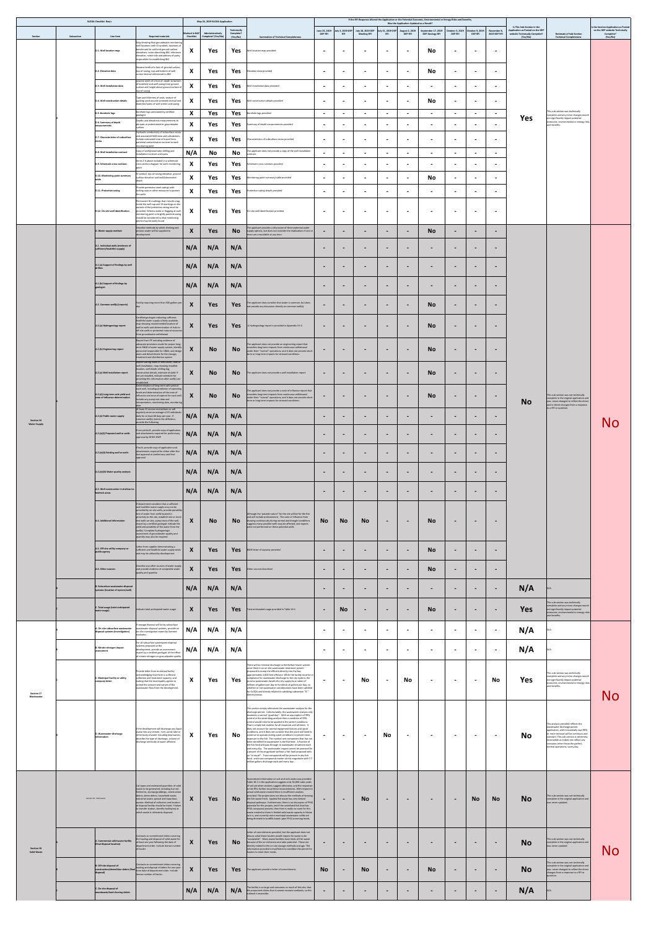|                                         | <b>SLODA Checklist Req's</b>                      |                                                                        |                                                                                                                                                                                                                                                                          |                                                        | May 24, 2019 SLODA Application                   |                                      |                                                                                                                                                                                                                                                                                                                                                                            |                                 |                              |                                         |                                     | Was the Application Updated as a Result? | If the RFI Response Altered the Application or the Potential Economic, Environmental or Energy Risks and Benefits, |                              |                                                     |                                    | Is This Sub-Section in the                                                    |                                                                                                                                                                                                             | Is the Section Application as Posted                    |
|-----------------------------------------|---------------------------------------------------|------------------------------------------------------------------------|--------------------------------------------------------------------------------------------------------------------------------------------------------------------------------------------------------------------------------------------------------------------------|--------------------------------------------------------|--------------------------------------------------|--------------------------------------|----------------------------------------------------------------------------------------------------------------------------------------------------------------------------------------------------------------------------------------------------------------------------------------------------------------------------------------------------------------------------|---------------------------------|------------------------------|-----------------------------------------|-------------------------------------|------------------------------------------|--------------------------------------------------------------------------------------------------------------------|------------------------------|-----------------------------------------------------|------------------------------------|-------------------------------------------------------------------------------|-------------------------------------------------------------------------------------------------------------------------------------------------------------------------------------------------------------|---------------------------------------------------------|
| Section                                 | Subsection                                        | Line Item                                                              | <b>Required materials</b>                                                                                                                                                                                                                                                | <b>Marked in NAF</b><br><b>Checklist</b>               | Administratively<br>Complete? (Yes/No)           | Technically<br>Complete?<br>(Yes/No) | <b>Summation of Technical Completeness</b>                                                                                                                                                                                                                                                                                                                                 | June 25, 2019<br><b>DEP RFI</b> | July 3, 2019 DEP<br>- RFI    | July 18, 2019 DEP<br><b>Meeting RFI</b> | July 31, 2019 DEP<br><b>RFI</b>     | August 2, 2019<br><b>DEP RFI</b>         | September 17, 2019<br><b>DEP Geology RFI</b>                                                                       | <b>DEP RFI</b>               | October 3, 2019   October 9, 2019<br><b>DEP RFI</b> | November 8,<br><b>2019 DEP RFI</b> | Application as Posted on the DEP<br>website Technically Complete?<br>(Yes/No) | <b>Rationale of Sub-Section</b><br><b>Technical Completeness</b>                                                                                                                                            | on the DEP website Technically<br>Complete?<br>(Yes/No) |
|                                         | D.1. Well location map                            |                                                                        | Map showing final groundwater monitoring<br>well locations with ID symbols, locations of<br>benchmark for well and ground surface<br>elevations, notes describing BM, reference<br>elevation, name title and address of party<br>responsible for establishing BM         | $\mathbf{M}$<br>$\mathbf{\Lambda}$                     | Yes                                              | Yes                                  | Well location map provided                                                                                                                                                                                                                                                                                                                                                 | $\blacksquare$                  | $\blacksquare$               | $\sim$                                  | $\blacksquare$                      | $\blacksquare$                           | <b>No</b>                                                                                                          | $\blacksquare$               | $\blacksquare$                                      | $\blacksquare$                     |                                                                               |                                                                                                                                                                                                             |                                                         |
|                                         | D.2. Elevation data                               |                                                                        | Nearest tenth of a foot of: ground surface,<br>top-of-casing, top and bottom of well<br>screen interval referenced to BM.                                                                                                                                                | $\mathbf{v}$<br>$\boldsymbol{\Lambda}$                 | Yes                                              | Yes                                  | Elevation data provided                                                                                                                                                                                                                                                                                                                                                    | $\blacksquare$                  | $\qquad \qquad$              | $\sim$                                  | $\blacksquare$                      | $\blacksquare$                           | <b>No</b>                                                                                                          | $\blacksquare$               | $\blacksquare$                                      | <u>. на п</u>                      |                                                                               |                                                                                                                                                                                                             |                                                         |
|                                         | D.3. Well installation data                       |                                                                        | nearest tenth of a foot of: depth to bottom<br>of borehole and well casing from ground<br>surface and height above ground surface of<br>top-of-casing                                                                                                                    | $\mathbf{M}$<br>$\boldsymbol{\Lambda}$                 | Yes                                              | <b>Yes</b>                           | Well installation data provided                                                                                                                                                                                                                                                                                                                                            | $\overline{\phantom{a}}$        | $\blacksquare$               | $\blacksquare$                          | $\blacksquare$                      | $\blacksquare$                           |                                                                                                                    | $\blacksquare$               | $\blacksquare$                                      | $\blacksquare$                     |                                                                               |                                                                                                                                                                                                             |                                                         |
|                                         | D.4. Well construction details                    |                                                                        | Type and thickness of seals, texture of<br>packing used around screened interval and<br>diameter/specs of well screen and casing                                                                                                                                         | $\mathbf{v}$                                           | Yes                                              | Yes                                  | Well construction details provided                                                                                                                                                                                                                                                                                                                                         | $\sim$                          | $\blacksquare$               | $\blacksquare$                          | $\blacksquare$                      | $\sim$                                   | <b>No</b>                                                                                                          | $\sim$                       | $\blacksquare$                                      | $\sim$                             |                                                                               |                                                                                                                                                                                                             |                                                         |
|                                         | D.5. Borehole logs                                |                                                                        | Borehole logs annotated by certified<br>geologist                                                                                                                                                                                                                        | $\mathbf{M}$<br>$\boldsymbol{\Lambda}$                 | Yes                                              | <b>Yes</b>                           | orehole logs provided                                                                                                                                                                                                                                                                                                                                                      | $\blacksquare$                  | $\blacksquare$               | $\sim$                                  | $\blacksquare$                      | $\blacksquare$                           | $\sim$                                                                                                             | $\sim$                       | $\blacksquare$                                      | $\sim$                             |                                                                               | This sub-section was technically<br>complete and any minor changes would<br>not significantly impact potential                                                                                              |                                                         |
|                                         | D.6. Summary of depth<br>measurements             |                                                                        | Depths and elevations measurements to<br>phreatic or potentiometric groundwater<br>surface<br>Hydraulic conductivity of subsurface strata                                                                                                                                | $\mathbf{M}$<br>$\mathbf{\Lambda}$                     | Yes                                              | <b>Yes</b>                           | Summary of depth measurements provided                                                                                                                                                                                                                                                                                                                                     | $\sim$                          | $\blacksquare$               | $\blacksquare$                          | $\blacksquare$                      | $\qquad \qquad$                          | $\blacksquare$                                                                                                     | $\blacksquare$               | $\overline{\phantom{0}}$                            | $\sim$                             | <b>Yes</b>                                                                    | economic, environmental or energy risks<br>and benefits.                                                                                                                                                    |                                                         |
|                                         |                                                   | D.7. Characteristics of subsurface                                     | and associated field data and calculations.<br>nclude estimated time-of-travel from<br>potential contamination sources to each<br>monitoring point                                                                                                                       | $\bullet$<br>$\mathbf{\Lambda}$                        | Yes                                              | <b>Yes</b>                           | Characteristics of subsurface strata provided                                                                                                                                                                                                                                                                                                                              | $\blacksquare$                  | $\blacksquare$               | $\overline{\phantom{a}}$                | $\blacksquare$                      | $\blacksquare$                           |                                                                                                                    | $\blacksquare$               | $\blacksquare$                                      | $\sim$                             |                                                                               |                                                                                                                                                                                                             |                                                         |
|                                         | D.8. Well installation contract                   |                                                                        | Copy of well/piezometer drilling and<br>installation contract and specs<br>Items 2-6 above included in a schematic                                                                                                                                                       | N/A                                                    | No                                               | <b>No</b>                            | The applicant does not provide a copy of the well installation<br>contract.                                                                                                                                                                                                                                                                                                | $\sim$                          | $\blacksquare$               | $\blacksquare$                          | $\blacksquare$                      | $\blacksquare$                           | $\blacksquare$                                                                                                     | $\blacksquare$               | $\blacksquare$                                      | $\blacksquare$                     |                                                                               |                                                                                                                                                                                                             |                                                         |
|                                         | D.9. Schematic cross-sections                     |                                                                        | cross section diagram for each monitoring<br>ID symbol, top-of-casing elevation, ground                                                                                                                                                                                  | $\boldsymbol{\Lambda}$                                 | Yes                                              | Yes                                  | Schematic cross-sections provided                                                                                                                                                                                                                                                                                                                                          | $\sim$                          | $\blacksquare$               | $\blacksquare$                          | $\blacksquare$                      | $\qquad \qquad$                          | $\blacksquare$                                                                                                     | $\blacksquare$               | $\blacksquare$                                      | $\blacksquare$                     |                                                                               |                                                                                                                                                                                                             |                                                         |
|                                         |                                                   | D.10. Monitoring point summary                                         | surface elevation and well/piezometer<br>Provide protective steel casings with                                                                                                                                                                                           | $\mathbf{v}$<br>$\boldsymbol{\Lambda}$<br>$\mathbf{v}$ | Yes                                              | Yes                                  | Monitoring point summary table provided                                                                                                                                                                                                                                                                                                                                    | $\sim$                          | $\blacksquare$               | $\overline{\phantom{a}}$                | $\blacksquare$                      | $\blacksquare$                           | <b>No</b>                                                                                                          | $\blacksquare$               | $\blacksquare$                                      |                                    |                                                                               |                                                                                                                                                                                                             |                                                         |
|                                         | D.11. Protective casing                           |                                                                        | locking caps or other measures to protect<br>the wells<br>Permanent ID markings that include a tag<br>inside the well cap and ID markings on the                                                                                                                         | $\mathbf{\Lambda}$                                     | Yes                                              | Yes                                  | Protective casing details provided                                                                                                                                                                                                                                                                                                                                         | $\blacksquare$                  | $\blacksquare$               | $\blacksquare$                          | $\blacksquare$                      | $\qquad \qquad \blacksquare$             | $\blacksquare$                                                                                                     | $\blacksquare$               | $\blacksquare$                                      | $\sim$                             |                                                                               |                                                                                                                                                                                                             |                                                         |
|                                         |                                                   | D.12. On-site well identification                                      | outside of the protective casing must be<br>provided. Witness stake or flagging at each<br>monitoring point or brightly painted casing<br>should be considered so that monitoring<br>points may be easily found                                                          | $\boldsymbol{\Lambda}$                                 | Yes                                              | Yes                                  | On-site well identification provided                                                                                                                                                                                                                                                                                                                                       | $\blacksquare$                  | $\blacksquare$               | $\blacksquare$                          | $\blacksquare$                      | $\blacksquare$                           | $\blacksquare$                                                                                                     | $\blacksquare$               | $\blacksquare$                                      | $\sim$                             |                                                                               |                                                                                                                                                                                                             |                                                         |
|                                         | A. Water supply method                            |                                                                        | Describe methods by which drinking and<br>process water will be supplied to<br>development                                                                                                                                                                               | $\boldsymbol{\Lambda}$                                 | <b>Yes</b>                                       | <b>No</b>                            | The applicant provides a discussion of three potential water<br>supply options, but does not consider the implications if one or<br>more are unavailable at any time.                                                                                                                                                                                                      |                                 | $\qquad \qquad$              | $\blacksquare$                          | $\blacksquare$                      | $\blacksquare$                           | <b>No</b>                                                                                                          | $\qquad \qquad \blacksquare$ | $\qquad \qquad$                                     | $\blacksquare$                     |                                                                               |                                                                                                                                                                                                             |                                                         |
|                                         | sufficient/healthful supply)                      | A.1. Individual wells (evidence of                                     |                                                                                                                                                                                                                                                                          | N/A                                                    | N/A                                              | N/A                                  |                                                                                                                                                                                                                                                                                                                                                                            | $\blacksquare$                  | $\qquad \qquad$              | $\blacksquare$                          | $\blacksquare$                      | $\blacksquare$                           | $\blacksquare$                                                                                                     | $\blacksquare$               | $\blacksquare$                                      | $\blacksquare$                     |                                                                               |                                                                                                                                                                                                             |                                                         |
|                                         |                                                   | A.1.(a) Support of findings by well                                    |                                                                                                                                                                                                                                                                          | N/A                                                    | N/A                                              | N/A                                  |                                                                                                                                                                                                                                                                                                                                                                            | $\blacksquare$                  | $\qquad \qquad$              | $\sim$                                  | $\blacksquare$                      | $\qquad \qquad \blacksquare$             | $\blacksquare$                                                                                                     | $\blacksquare$               | $\blacksquare$                                      | $\blacksquare$                     |                                                                               |                                                                                                                                                                                                             |                                                         |
|                                         | A.1.(b) Support of findings by<br>geologist       |                                                                        |                                                                                                                                                                                                                                                                          | N/A                                                    | N/A                                              | N/A                                  |                                                                                                                                                                                                                                                                                                                                                                            | $\blacksquare$                  | $\blacksquare$               | $\blacksquare$                          | $\blacksquare$                      | $\blacksquare$                           | $\blacksquare$                                                                                                     | $\blacksquare$               | $\blacksquare$                                      | $\blacksquare$                     |                                                                               |                                                                                                                                                                                                             |                                                         |
|                                         |                                                   | A.2. Common well(s) (reports)                                          | Facility requiring more than 300 gallons per                                                                                                                                                                                                                             | $\mathbf v$<br>$\boldsymbol{M}$                        | Yes                                              |                                      | Yes The applicant does consider that water is common, but does not provide any discussion directly on common well(s).                                                                                                                                                                                                                                                      | $\blacksquare$                  | <b>Service</b> Construction  | and the state of the state of the       | and the contract of the contract of | <b>Contract Contract</b>                 | <b>No</b>                                                                                                          | <b>State Control</b>         |                                                     | $\sim$ 100 $\sim$                  |                                                                               |                                                                                                                                                                                                             |                                                         |
|                                         | A.2.(a) Hydrogeology report                       |                                                                        | Certified geologist indicating sufficient<br>healthful water supply is likely available,<br>map showing recommended location of<br>well or wells and determination of risks to                                                                                           | $\Lambda$                                              | Yes                                              | <b>Yes</b>                           | A Hydrogeology report is provided in Appendix 15-A                                                                                                                                                                                                                                                                                                                         | $\overline{\phantom{0}}$        | $\qquad \qquad$              | $\sim$                                  | $\blacksquare$                      | $\blacksquare$                           | <b>No</b>                                                                                                          | $\qquad \qquad$              | $\blacksquare$                                      | $\blacksquare$                     |                                                                               |                                                                                                                                                                                                             |                                                         |
|                                         |                                                   |                                                                        | off-site wells or protected natural resources<br>from groundwater withdrawal<br>Report from PE including evidence of<br>adequate provisions made for proper long-                                                                                                        |                                                        |                                                  |                                      | The applicant does not provide an engineering report that                                                                                                                                                                                                                                                                                                                  |                                 |                              |                                         |                                     |                                          |                                                                                                                    |                              |                                                     |                                    |                                                                               |                                                                                                                                                                                                             |                                                         |
|                                         | A.2.(b) Engineering report                        |                                                                        | term O&M of water supply system, identify<br>personnel responsible for O&M, and design<br>plans and detail sheets for the storage,<br>treatment and distribution system<br>Report stating name of well driller, date of<br>well installation, map showing installed      | $\boldsymbol{\Lambda}$                                 | <b>No</b>                                        | <b>No</b>                            | considers long-term impacts from continuous withdrawal<br>under their "normal" operations, and it does not provide short-<br>term or long-term impacts for stressed conditions.                                                                                                                                                                                            | $\blacksquare$                  | $\qquad \qquad$              | $\blacksquare$                          | $\qquad \qquad$                     | $\blacksquare$                           | <b>No</b>                                                                                                          | $\blacksquare$               | $\qquad \qquad$                                     | $\blacksquare$                     |                                                                               |                                                                                                                                                                                                             |                                                         |
|                                         | A.2.(c) Well installation report                  |                                                                        | location, well depth, drilling log,<br>construction details, estimate of yield. If<br>not yet installed, indicate schedule for<br>providing this information after well(s) are<br>stablished                                                                             | $\boldsymbol{X}$                                       | <b>No</b>                                        | <b>No</b>                            | The applicant does not provide a well installation report.                                                                                                                                                                                                                                                                                                                 | $\blacksquare$                  | $\blacksquare$               | $\blacksquare$                          | $\blacksquare$                      | $\blacksquare$                           | <b>No</b>                                                                                                          | $\blacksquare$               | $\blacksquare$                                      | $\blacksquare$                     |                                                                               |                                                                                                                                                                                                             |                                                         |
|                                         |                                                   | $A.2.(d)$ Long-term safe yield and<br>zone of influence determination  | Determination of long-term safe yield of<br>each well, including prediction of operating<br>levels and determination of the zone of<br>ifluence and zone of capture for each well.<br>Include any pump test data and<br>interpretation, monitoring data, monitoring      | $\bm{\Lambda}$                                         | <b>No</b>                                        | <b>No</b>                            | The applicant does not provide a zone of influence report that<br>considers long-term impacts from continuous withdrawal<br>under their "normal" operations, and it does not provide short-<br>term or long-term impacts for stressed conditions.                                                                                                                          | $\sim$                          | $\blacksquare$               | $\blacksquare$                          | $\qquad \qquad$                     | $\blacksquare$                           | <b>No</b>                                                                                                          | $\blacksquare$               | $\blacksquare$                                      | $\blacksquare$                     | <b>No</b>                                                                     | This sub-section was not technically<br>complete in the original application and<br>was never changed to reflect the direct<br>and in-direct changes from a response                                        |                                                         |
| Section 16<br><b>Water Supply</b>       | A.2.(e) Public water supply                       |                                                                        | At least 15 service connections or will<br>regularly serve an average of 25 individuals<br>daily for at least 60 days per year. If<br>common well(s) meets this definition,<br>provide the following                                                                     | N/A                                                    | N/A                                              | N/A                                  |                                                                                                                                                                                                                                                                                                                                                                            | $\blacksquare$                  | $\blacksquare$               | $\blacksquare$                          | $\blacksquare$                      | $\blacksquare$                           | $\sim$                                                                                                             | $\qquad \qquad \blacksquare$ | $\blacksquare$                                      | $\blacksquare$                     |                                                                               | to a RFI or question.                                                                                                                                                                                       | No                                                      |
|                                         |                                                   | $A.2.(e)(i)$ Proposed well or wells                                    | f not yet built, provide copy of application<br>and attachments required for preliminary<br>approval by DHHS-DWP                                                                                                                                                         | N/A                                                    | N/A                                              | N/A                                  |                                                                                                                                                                                                                                                                                                                                                                            | $\blacksquare$                  | $\blacksquare$               | $\blacksquare$                          | $\qquad \qquad$                     | $\blacksquare$                           | $\overline{\phantom{a}}$                                                                                           | $\blacksquare$               | $\blacksquare$                                      | $\blacksquare$                     |                                                                               |                                                                                                                                                                                                             |                                                         |
|                                         |                                                   | A.2.(e)(ii) Existing well or wells                                     | If built, provide copy of application and<br>attachments required for either after-the-<br>fact approval or preliminary and final                                                                                                                                        | $\sim$ $\sim$<br>N/A                                   | $\sim$ $\sim$ $\sim$ $\sim$ $\sim$ $\sim$<br>N/A | N/A                                  |                                                                                                                                                                                                                                                                                                                                                                            |                                 |                              | $\blacksquare$                          |                                     |                                          | $\blacksquare$                                                                                                     | $\overline{\phantom{a}}$     |                                                     | $\blacksquare$                     |                                                                               |                                                                                                                                                                                                             |                                                         |
|                                         |                                                   | A.2.(e)(iii) Water quality analysis                                    |                                                                                                                                                                                                                                                                          | N/A                                                    | N/A                                              | N/A                                  |                                                                                                                                                                                                                                                                                                                                                                            | $\blacksquare$                  | $\qquad \qquad$              | $\blacksquare$                          | $\overline{\phantom{0}}$            | $\blacksquare$                           | $\sim$                                                                                                             | $\blacksquare$               | $\blacksquare$                                      | $\sim$                             |                                                                               |                                                                                                                                                                                                             |                                                         |
|                                         | bedrock areas                                     | A.3. Well construction in shallow-to-                                  |                                                                                                                                                                                                                                                                          | N/A                                                    | N/A                                              | N/A                                  |                                                                                                                                                                                                                                                                                                                                                                            | $\blacksquare$                  | $\blacksquare$               | $\sim$                                  | $\blacksquare$                      | $\blacksquare$                           | $\sim$                                                                                                             | $\sim$                       | $\sim$                                              | $\sim$                             |                                                                               |                                                                                                                                                                                                             |                                                         |
|                                         | A.4. Additional information                       |                                                                        | f department considers that a sufficient<br>and healthful water supply may not be<br>provided by on-site wells, provide potability<br>test of water from wells located in<br>proximity to the site, establish one or more<br>test wells on-site, pump tests of the well, | $\mathbf{\Lambda}$                                     | <b>No</b>                                        | <b>No</b>                            | Although the 'potable nature" for the site will be for the fish<br>and will include pretreatment. The cone of influence from<br>drawing continuously during normal and drought conditions                                                                                                                                                                                  | <b>No</b>                       | <b>No</b>                    | <b>No</b>                               | $\blacksquare$                      | $\blacksquare$                           | <b>No</b>                                                                                                          | $\blacksquare$               | $\qquad \qquad$                                     | $\blacksquare$                     |                                                                               |                                                                                                                                                                                                             |                                                         |
|                                         |                                                   |                                                                        | report by a certified geologist indicate the<br>yield and potability of the water from the<br>well(s). Complete hydrogeologic<br>assessment of groundwater quality and<br>quantity may also be required                                                                  |                                                        |                                                  |                                      | suggests many possible wells may be affected, and reports<br>were not performed on these potential wells.                                                                                                                                                                                                                                                                  |                                 |                              |                                         |                                     |                                          |                                                                                                                    |                              |                                                     |                                    |                                                                               |                                                                                                                                                                                                             |                                                         |
|                                         | A.5. Off-site utility company or<br>public agency |                                                                        | Letter from supplier demonstrating a<br>sufficient and healthful water supply exists<br>and may be utilized by development                                                                                                                                               | $\mathbf{X}$                                           | <b>Yes</b>                                       | Yes                                  | BWD letter of capacity provided                                                                                                                                                                                                                                                                                                                                            | $\sim$                          | $\sim$                       | $\sim$                                  | $\blacksquare$                      | $\blacksquare$                           | <b>No</b>                                                                                                          | $\blacksquare$               | $\sim$                                              | $\sim$                             |                                                                               |                                                                                                                                                                                                             |                                                         |
|                                         | A.6. Other sources                                |                                                                        | Describe any other sources of water supply<br>and provide evidence of acceptable water<br>quality and quantity                                                                                                                                                           | $\boldsymbol{X}$                                       | <b>Yes</b>                                       | <b>Yes</b>                           | Other sources described                                                                                                                                                                                                                                                                                                                                                    | $\sim$                          | $\blacksquare$               | $\sim$                                  | $\blacksquare$                      | $\blacksquare$                           | <b>No</b>                                                                                                          | $\sim$                       | $\blacksquare$                                      | $\blacksquare$                     |                                                                               |                                                                                                                                                                                                             |                                                         |
|                                         |                                                   | B. Subsurface wastewater disposal<br>systems (location of system/well) |                                                                                                                                                                                                                                                                          | N/A                                                    | N/A                                              | N/A                                  |                                                                                                                                                                                                                                                                                                                                                                            | $\overline{\phantom{0}}$        | $\blacksquare$               | $\sim$                                  | $\qquad \qquad$                     | $\blacksquare$                           | $\blacksquare$                                                                                                     | $\blacksquare$               | $\blacksquare$                                      | $\blacksquare$                     | N/A                                                                           |                                                                                                                                                                                                             |                                                         |
|                                         | water usage)                                      | C. Total usage (total anticipated                                      | Indicate total anticipated water usage                                                                                                                                                                                                                                   | $\mathbf v$<br>$\boldsymbol{\Lambda}$                  | <b>Yes</b>                                       | <b>Yes</b>                           | Total anticipated usage provided in Table 16-1.                                                                                                                                                                                                                                                                                                                            | $\overline{\phantom{a}}$        | <b>No</b>                    | $\sim$                                  | $\blacksquare$                      | $\blacksquare$                           | <b>No</b>                                                                                                          | $\blacksquare$               | $\qquad \qquad$                                     | $\sim$                             | <b>Yes</b>                                                                    | This sub-section was technically<br>complete and any minor changes would<br>not significantly impact potential<br>economic, environmental or energy risks<br>and benefits.                                  |                                                         |
|                                         |                                                   | A. On-site subsurface wastewater<br>disposal systems (investigation)   | f sewage disposal will be by subsurface<br>wastewater disposal systems, provide an<br>on-site investigation report by licensed<br>evaluator.                                                                                                                             | N/A                                                    | N/A                                              | N/A                                  |                                                                                                                                                                                                                                                                                                                                                                            | $\blacksquare$                  | $\blacksquare$               | $\blacksquare$                          | $\blacksquare$                      | $\blacksquare$                           |                                                                                                                    | $\blacksquare$               | $\blacksquare$                                      | $\blacksquare$                     | N/A                                                                           |                                                                                                                                                                                                             |                                                         |
|                                         | B. Nitrate-nitrogen impact<br>assessment          |                                                                        | For all subsurface wastewater disposal<br>systems proposed at the<br>development, provide an assessment<br>report by a certified geologist of the effect<br>of nitrate-nitrogen on groundwater quality                                                                   | N/A                                                    | N/A                                              | N/A                                  |                                                                                                                                                                                                                                                                                                                                                                            | $\blacksquare$                  | $\blacksquare$               | $\blacksquare$                          | $\blacksquare$                      | $\qquad \qquad$                          | $\blacksquare$                                                                                                     | $\blacksquare$               | $\blacksquare$                                      | $\blacksquare$                     | N/A                                                                           |                                                                                                                                                                                                             |                                                         |
|                                         | C. Municipal facility or utility                  |                                                                        | Provide letter from municipal facility<br>acknowledging that there is sufficient<br>collection and treatment capacity, and                                                                                                                                               | $\mathbf{v}$                                           |                                                  |                                      | There will be minimal discharge to the Belfast Sewer system<br>since there is an on-site wastewater treatment system<br>proposed to dump the effluent directly into the bay<br>approximately 2,800 feet offshore. While the facility must be in<br>compliance for wastewater discharge to the city system, the                                                             |                                 |                              |                                         |                                     |                                          |                                                                                                                    |                              |                                                     |                                    |                                                                               | This sub-section was technically<br>complete and any minor changes would                                                                                                                                    |                                                         |
| <b>Section 17</b>                       | company letter                                    |                                                                        | stating that the municipality agrees to<br>accept the amount and nature of the<br>wastewater flow from the development.                                                                                                                                                  | $\mathbf{\Lambda}$                                     | Yes                                              | Yes                                  | process wastewater dwarfs the city supply by a ration of<br>millions of gallons per day to hundreds of gallons per day, so<br>whether or not wastewater considerations have been satisfied<br>for SLODA and directly related to satisfying subsection "D."<br>directly below.                                                                                              | $\blacksquare$                  | $\mathbf{r}$                 | No                                      | $\blacksquare$                      | <b>No</b>                                | $\blacksquare$                                                                                                     | $\blacksquare$               | $\sim$                                              | <b>No</b>                          | <b>Yes</b>                                                                    | not significantly impact potential<br>economic, environmental or energy risks<br>and benefits.                                                                                                              | No                                                      |
| Wastewater                              |                                                   |                                                                        |                                                                                                                                                                                                                                                                          |                                                        |                                                  |                                      | This section simply references the wastewater analysis for the<br>discharge permit. Unfortunately, the wastewater analysis only                                                                                                                                                                                                                                            |                                 |                              |                                         |                                     |                                          |                                                                                                                    |                              |                                                     |                                    |                                                                               |                                                                                                                                                                                                             |                                                         |
|                                         |                                                   |                                                                        | If the development will discharge any liquid                                                                                                                                                                                                                             |                                                        |                                                  |                                      | examines a normal "good day". With an assumption of 99%<br>control in the permitting analysis then a condition of 99%<br>control would need to be applied in the permit conditions.<br>That is simply not realistic for all situations and all times. It<br>does not account for normal equipment failures and upset                                                       |                                 |                              |                                         |                                     |                                          |                                                                                                                    |                              |                                                     |                                    |                                                                               | The analysis provided reflects the<br>wastewater discharge permit                                                                                                                                           |                                                         |
|                                         | D. Wastewater discharge<br>information            |                                                                        | waste into any stream, river, pond, lake or<br>other body of water including tidal waters,<br>describe the type of discharge, volume of<br>discharge and body of water affected.                                                                                         | $\boldsymbol{\Lambda}$                                 | Yes                                              | <b>No</b>                            | conditions, and it does not consider that the plant will need to<br>continue to operate during upset conditions to prevent toxic<br>exposure to the fish. The number one component that has not<br>been identified for wastewater is the fish feed. A fraction of                                                                                                          |                                 | $\blacksquare$               | $\blacksquare$                          | <b>No</b>                           | $\blacksquare$                           |                                                                                                                    | $\blacksquare$               | $\blacksquare$                                      | $\sim$                             | <b>No</b>                                                                     | application, and it essentially says 99%<br>or more removal will be continuos and<br>constant. This sub-section is extremely<br>incomplete as it does not reflect any<br>scenarios other thean the perfect, |                                                         |
|                                         |                                                   |                                                                        |                                                                                                                                                                                                                                                                          |                                                        |                                                  |                                      | the fish feed will pass through to wastewater treatment each<br>and every day. The wastewater impact cannot be assessed for<br>a project of this magnitude without a fish food proposed with<br>an "or equal". Trace compounds will be present in any fish<br>food, and trace compounds matter at this magnitude with 7.7<br>million gallons discharge each and every day. |                                 |                              |                                         |                                     |                                          |                                                                                                                    |                              |                                                     |                                    |                                                                               | normal operations, sunny day.                                                                                                                                                                               |                                                         |
|                                         |                                                   |                                                                        |                                                                                                                                                                                                                                                                          |                                                        |                                                  |                                      | Inconsistent information on soil and rock waste was provided.                                                                                                                                                                                                                                                                                                              |                                 |                              |                                         |                                     |                                          |                                                                                                                    |                              |                                                     |                                    |                                                                               |                                                                                                                                                                                                             |                                                         |
|                                         |                                                   |                                                                        | List types and estimated quantities of solid<br>waste to be generated, including but not<br>limited to, stumps/grubbings, construction<br>debris, demo debris, household waste,                                                                                          |                                                        |                                                  |                                      | Table 18-1 in the application suggests only 34,000 cubic yards<br>of soil yet other sections suggest otherwise, and the responses<br>to the RFIs further cloud these inconsistencies. With respect to<br>actual solid waste created there is insufficient analysis<br>provided. The project does not discuss the methods of keeping                                        |                                 |                              |                                         |                                     |                                          |                                                                                                                    |                              |                                                     |                                    |                                                                               | This sub-section was not technically                                                                                                                                                                        |                                                         |
|                                         | Section 18 - Solid waste                          |                                                                        | industrial waste, special and hazardous<br>wastes. Method of collection and location<br>of disposal facility should be listed. If taken<br>to transfer station, identify facility(ies) at                                                                                | $\mathbf{\Lambda}$                                     | Yes                                              | <b>No</b>                            | the fish waste fresh. Spoiled fish waste has very limited<br>disposal pathways. Furthermore, there is no discussion of PFAS<br>potential for this project, and if the undefined fish food has<br>PFAS compound present, then their is really no room for this                                                                                                              | $\sim$                          | $\qquad \qquad \blacksquare$ | <b>No</b>                               | $\qquad \qquad$                     | $\blacksquare$                           | $\blacksquare$                                                                                                     | $\blacksquare$               | <b>No</b>                                           | <b>No</b>                          | <b>No</b>                                                                     | complete in the original application and<br>was never updated.                                                                                                                                              |                                                         |
|                                         |                                                   |                                                                        | which waste is ultimately disposed.                                                                                                                                                                                                                                      |                                                        |                                                  |                                      | waste created as there is limited solid waste capacity in Maine<br>as it is, and currently more municipal wastewater solids are<br>being directed to landfills based upon PFAS screening levels.                                                                                                                                                                           |                                 |                              |                                         |                                     |                                          |                                                                                                                    |                              |                                                     |                                    |                                                                               |                                                                                                                                                                                                             |                                                         |
|                                         | (final disposal location)                         | A. Commercial solid waste facility                                     | Contracts or commitment letters covering<br>the hauling and disposal of solid waste for<br>at least one year following the date of                                                                                                                                       | $\boldsymbol{X}$                                       | Yes                                              | <b>No</b>                            | Letter of commitments provided, but the applicant does not<br>discuss what these haulers would require for waste to be<br>"acceptable". Many waste facilities have limits of fish waste<br>because of the air emissions and odor potential. Those are                                                                                                                      |                                 | $\qquad \qquad$              | $\blacksquare$                          | $\qquad \qquad$                     | $\blacksquare$                           | $\blacksquare$                                                                                                     | $\blacksquare$               | $\blacksquare$                                      | $\overline{\phantom{a}}$           | <b>No</b>                                                                     | This sub-section was not technically<br>complete in the original application and                                                                                                                            |                                                         |
| <b>Section 18</b><br><b>Solid Waste</b> |                                                   |                                                                        | department order. Include license number<br>of hauler<br>Contracts or commitment letters covering                                                                                                                                                                        |                                                        |                                                  |                                      | directly related to the on-site storage methods and age. The<br>information provided is insufficient to condition the permit for<br>haulers to meet their needs.                                                                                                                                                                                                           |                                 |                              |                                         |                                     |                                          |                                                                                                                    |                              |                                                     |                                    |                                                                               | was never updated.<br>This sub-section was not technically                                                                                                                                                  | No                                                      |
|                                         | B. Off-site disposal of<br>disposal)              | construction/demolition debris (final                                  | hauling and disposal of debris for one year<br>from date of department order. Include<br>license number of hauler.                                                                                                                                                       | $\boldsymbol{X}$                                       | Yes                                              | <b>Yes</b>                           | The applicant provide a letter of commitments.                                                                                                                                                                                                                                                                                                                             | <b>No</b>                       | $\blacksquare$               | <b>No</b>                               | $\blacksquare$                      | $\blacksquare$                           | <b>No</b>                                                                                                          | $\sim$                       | $\blacksquare$                                      | $\blacksquare$                     | <b>No</b>                                                                     | complete in the original application and<br>was never changed to reflect the direct<br>changes from a response to a RFI or<br>question                                                                      |                                                         |
|                                         | C. On-site disposal of                            | woodwaste/land clearing debris                                         |                                                                                                                                                                                                                                                                          | N/A                                                    | N/A                                              | N/A                                  | The facility is so large and consumes so much of this site, that<br>the proponent claims that it cannot recreate wetlands, so this<br>subtask is impossibe.                                                                                                                                                                                                                | $\sim$                          | $\blacksquare$               | $\sim$                                  | $\blacksquare$                      | $\blacksquare$                           | $\sim$                                                                                                             | $\sim$                       | $\blacksquare$                                      | $\sim$                             | N/A                                                                           |                                                                                                                                                                                                             |                                                         |